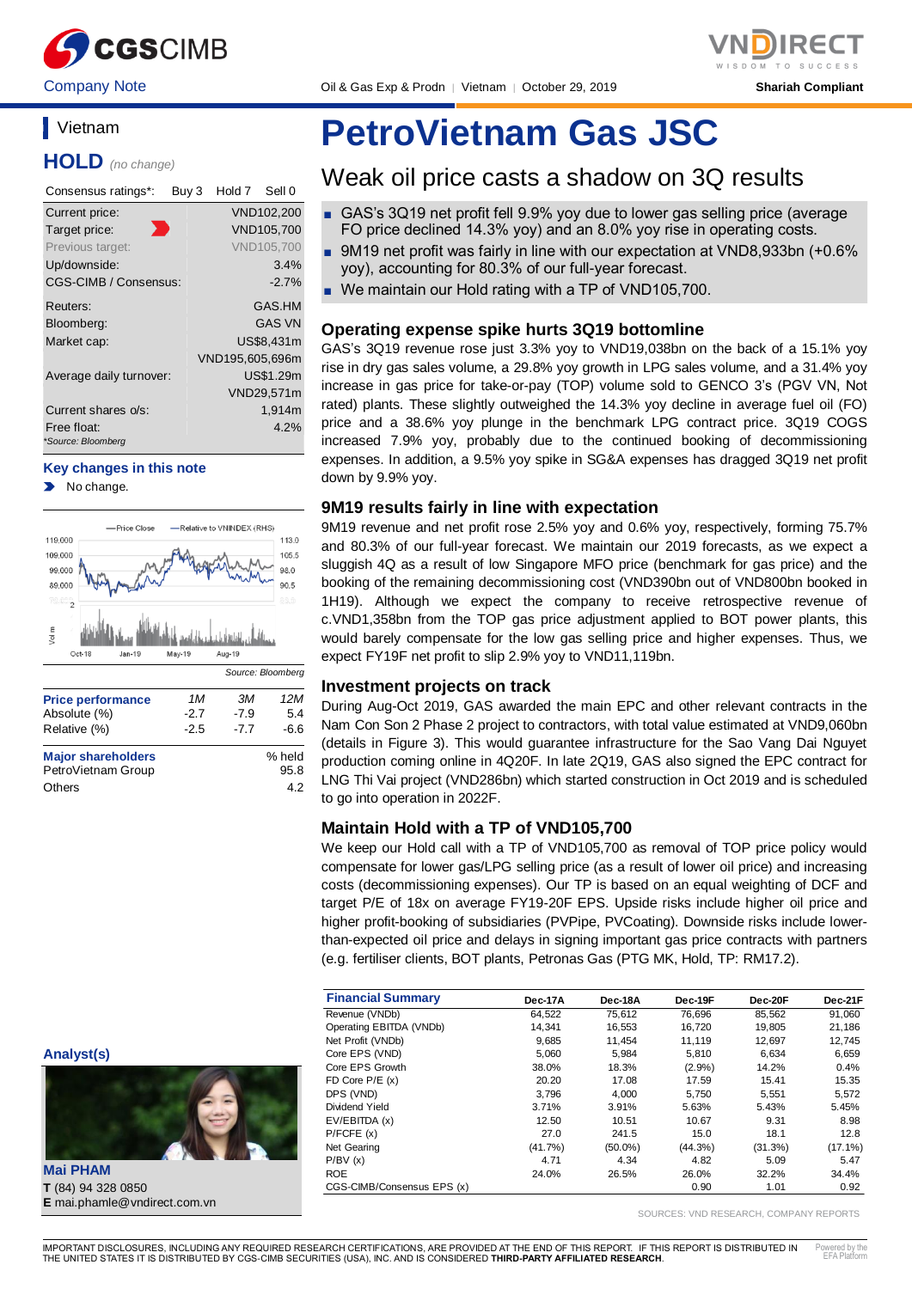

Company Note Oil & Gas Exp & Prodn │ Vietnam │ October 29, 2019 **Shariah Compliant**

## **Vietnam**

**HOLD** *(no change)*

| Consensus ratings*:     | Buy 3 | Hold 7          | Sell 0            |
|-------------------------|-------|-----------------|-------------------|
| Current price:          |       |                 | VND102,200        |
| Target price:           | Ð     |                 | VND105,700        |
| Previous target:        |       |                 | <b>VND105,700</b> |
| Up/downside:            |       |                 | 3.4%              |
| CGS-CIMB / Consensus:   |       |                 | $-2.7%$           |
| Reuters:                |       |                 | GAS.HM            |
| Bloomberg:              |       |                 | <b>GAS VN</b>     |
| Market cap:             |       |                 | US\$8,431m        |
|                         |       | VND195,605,696m |                   |
| Average daily turnover: |       |                 | US\$1.29m         |
|                         |       |                 | VND29,571m        |
| Current shares o/s:     |       |                 | 1,914m            |
| Free float:             |       |                 | 4.2%              |
| *Source: Bloomberg      |       |                 |                   |

#### **Key changes in this note**

No change.



**Analyst(s)**



**Mai PHAM T** (84) 94 328 0850 **E** mai.phamle@vndirect.com.vn

# **PetroVietnam Gas JSC**

## Weak oil price casts a shadow on 3Q results

- GAS's 3Q19 net profit fell 9.9% yoy due to lower gas selling price (average FO price declined 14.3% yoy) and an 8.0% yoy rise in operating costs.
- 9M19 net profit was fairly in line with our expectation at VND8,933bn (+0.6%) yoy), accounting for 80.3% of our full-year forecast.
- We maintain our Hold rating with a TP of VND105,700.

#### **Operating expense spike hurts 3Q19 bottomline**

GAS's 3Q19 revenue rose just 3.3% yoy to VND19,038bn on the back of a 15.1% yoy rise in dry gas sales volume, a 29.8% yoy growth in LPG sales volume, and a 31.4% yoy increase in gas price for take-or-pay (TOP) volume sold to GENCO 3's (PGV VN, Not rated) plants. These slightly outweighed the 14.3% yoy decline in average fuel oil (FO) price and a 38.6% yoy plunge in the benchmark LPG contract price. 3Q19 COGS increased 7.9% yoy, probably due to the continued booking of decommissioning expenses. In addition, a 9.5% yoy spike in SG&A expenses has dragged 3Q19 net profit down by 9.9% yoy.

#### **9M19 results fairly in line with expectation**

9M19 revenue and net profit rose 2.5% yoy and 0.6% yoy, respectively, forming 75.7% and 80.3% of our full-year forecast. We maintain our 2019 forecasts, as we expect a sluggish 4Q as a result of low Singapore MFO price (benchmark for gas price) and the booking of the remaining decommissioning cost (VND390bn out of VND800bn booked in 1H19). Although we expect the company to receive retrospective revenue of c.VND1,358bn from the TOP gas price adjustment applied to BOT power plants, this would barely compensate for the low gas selling price and higher expenses. Thus, we expect FY19F net profit to slip 2.9% yoy to VND11,119bn.

#### **Investment projects on track**

During Aug-Oct 2019, GAS awarded the main EPC and other relevant contracts in the Nam Con Son 2 Phase 2 project to contractors, with total value estimated at VND9,060bn (details in Figure 3). This would guarantee infrastructure for the Sao Vang Dai Nguyet production coming online in 4Q20F. In late 2Q19, GAS also signed the EPC contract for LNG Thi Vai project (VND286bn) which started construction in Oct 2019 and is scheduled to go into operation in 2022F.

#### **Maintain Hold with a TP of VND105,700**

We keep our Hold call with a TP of VND105,700 as removal of TOP price policy would compensate for lower gas/LPG selling price (as a result of lower oil price) and increasing costs (decommissioning expenses). Our TP is based on an equal weighting of DCF and target P/E of 18x on average FY19-20F EPS. Upside risks include higher oil price and higher profit-booking of subsidiaries (PVPipe, PVCoating). Downside risks include lowerthan-expected oil price and delays in signing important gas price contracts with partners (e.g. fertiliser clients, BOT plants, Petronas Gas (PTG MK, Hold, TP: RM17.2).

| <b>Financial Summary</b>   | Dec-17A | Dec-18A    | Dec-19F    | Dec-20F | Dec-21F    |
|----------------------------|---------|------------|------------|---------|------------|
| Revenue (VNDb)             | 64.522  | 75.612     | 76.696     | 85,562  | 91,060     |
| Operating EBITDA (VNDb)    | 14.341  | 16.553     | 16.720     | 19.805  | 21.186     |
| Net Profit (VNDb)          | 9.685   | 11.454     | 11.119     | 12.697  | 12.745     |
| Core EPS (VND)             | 5,060   | 5.984      | 5.810      | 6.634   | 6,659      |
| Core EPS Growth            | 38.0%   | 18.3%      | (2.9%)     | 14.2%   | 0.4%       |
| FD Core $P/E(x)$           | 20.20   | 17.08      | 17.59      | 15.41   | 15.35      |
| DPS (VND)                  | 3.796   | 4.000      | 5.750      | 5.551   | 5,572      |
| Dividend Yield             | 3.71%   | 3.91%      | 5.63%      | 5.43%   | 5.45%      |
| EV/EBITDA (x)              | 12.50   | 10.51      | 10.67      | 9.31    | 8.98       |
| P/FCFE(x)                  | 27.0    | 241.5      | 15.0       | 18.1    | 12.8       |
| Net Gearing                | (41.7%) | $(50.0\%)$ | $(44.3\%)$ | (31.3%) | $(17.1\%)$ |
| P/BV(x)                    | 4.71    | 4.34       | 4.82       | 5.09    | 5.47       |
| <b>ROE</b>                 | 24.0%   | 26.5%      | 26.0%      | 32.2%   | 34.4%      |
| CGS-CIMB/Consensus EPS (x) |         |            | 0.90       | 1.01    | 0.92       |

SOURCES: VND RESEARCH, COMPANY REPORTS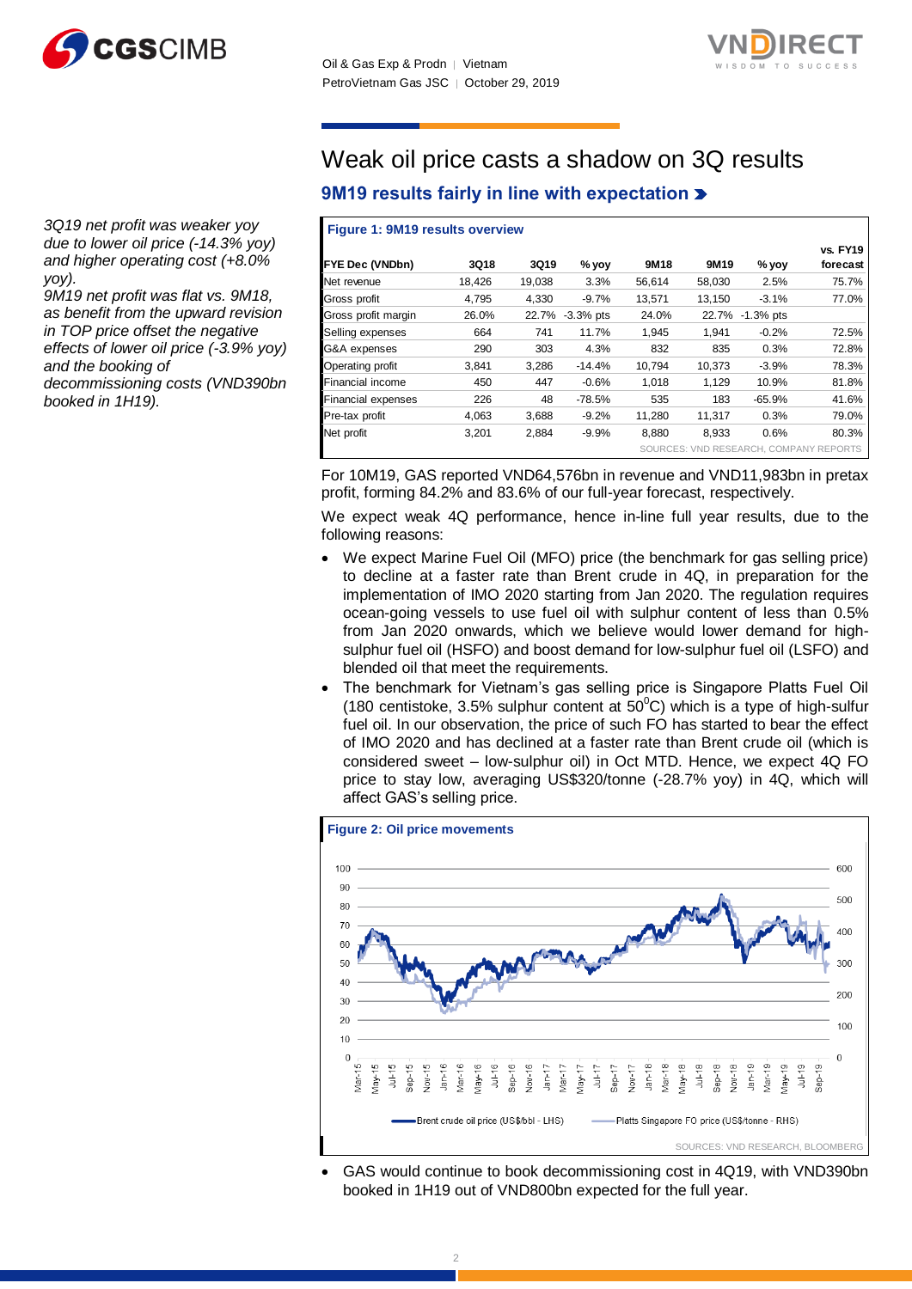



*3Q19 net profit was weaker yoy due to lower oil price (-14.3% yoy) and higher operating cost (+8.0% yoy).*

*9M19 net profit was flat vs. 9M18, as benefit from the upward revision in TOP price offset the negative effects of lower oil price (-3.9% yoy) and the booking of* 

*decommissioning costs (VND390bn booked in 1H19).*

## Weak oil price casts a shadow on 3Q results **9M19 results fairly in line with expectation**

#### **Figure 1: 9M19 results overview**

| <b>FYE Dec (VNDbn)</b>    | 3Q18   | 3Q19   | % yoy           | 9M18   | 9M <sub>19</sub> | % yoy                                  | <b>vs. FY19</b><br>forecast |
|---------------------------|--------|--------|-----------------|--------|------------------|----------------------------------------|-----------------------------|
| Net revenue               | 18,426 | 19,038 | 3.3%            | 56,614 | 58,030           | 2.5%                                   | 75.7%                       |
| Gross profit              | 4,795  | 4,330  | $-9.7%$         | 13,571 | 13.150           | $-3.1%$                                | 77.0%                       |
| Gross profit margin       | 26.0%  |        | 22.7% -3.3% pts | 24.0%  |                  | 22.7% -1.3% pts                        |                             |
| Selling expenses          | 664    | 741    | 11.7%           | 1.945  | 1.941            | $-0.2%$                                | 72.5%                       |
| G&A expenses              | 290    | 303    | 4.3%            | 832    | 835              | 0.3%                                   | 72.8%                       |
| Operating profit          | 3,841  | 3.286  | $-14.4%$        | 10.794 | 10.373           | $-3.9%$                                | 78.3%                       |
| Financial income          | 450    | 447    | $-0.6%$         | 1.018  | 1.129            | 10.9%                                  | 81.8%                       |
| <b>Financial expenses</b> | 226    | 48     | $-78.5%$        | 535    | 183              | $-65.9%$                               | 41.6%                       |
| Pre-tax profit            | 4,063  | 3,688  | $-9.2%$         | 11,280 | 11,317           | 0.3%                                   | 79.0%                       |
| Net profit                | 3,201  | 2,884  | $-9.9%$         | 8,880  | 8,933            | 0.6%                                   | 80.3%                       |
|                           |        |        |                 |        |                  | SOURCES: VND RESEARCH, COMPANY REPORTS |                             |

For 10M19, GAS reported VND64,576bn in revenue and VND11,983bn in pretax profit, forming 84.2% and 83.6% of our full-year forecast, respectively.

We expect weak 4Q performance, hence in-line full year results, due to the following reasons:

- We expect Marine Fuel Oil (MFO) price (the benchmark for gas selling price) to decline at a faster rate than Brent crude in 4Q, in preparation for the implementation of IMO 2020 starting from Jan 2020. The regulation requires ocean-going vessels to use fuel oil with sulphur content of less than 0.5% from Jan 2020 onwards, which we believe would lower demand for highsulphur fuel oil (HSFO) and boost demand for low-sulphur fuel oil (LSFO) and blended oil that meet the requirements.
- The benchmark for Vietnam's gas selling price is Singapore Platts Fuel Oil (180 centistoke, 3.5% sulphur content at  $50^{\circ}$ C) which is a type of high-sulfur fuel oil. In our observation, the price of such FO has started to bear the effect of IMO 2020 and has declined at a faster rate than Brent crude oil (which is considered sweet – low-sulphur oil) in Oct MTD. Hence, we expect 4Q FO price to stay low, averaging US\$320/tonne (-28.7% yoy) in 4Q, which will affect GAS's selling price.



 GAS would continue to book decommissioning cost in 4Q19, with VND390bn booked in 1H19 out of VND800bn expected for the full year.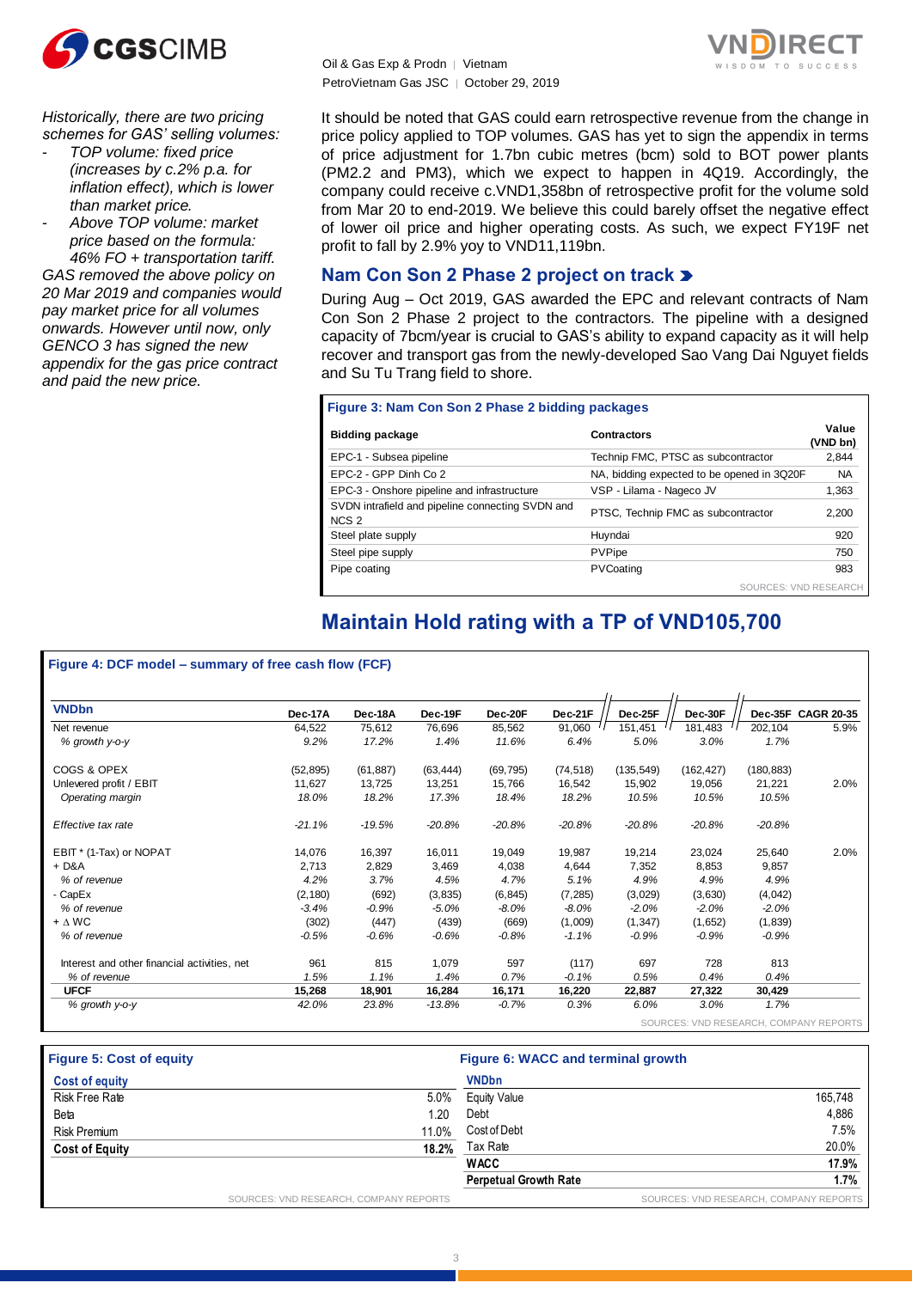

*Historically, there are two pricing schemes for GAS' selling volumes:*

- *TOP volume: fixed price (increases by c.2% p.a. for inflation effect), which is lower than market price.*

- *Above TOP volume: market price based on the formula: 46% FO + transportation tariff. GAS removed the above policy on 20 Mar 2019 and companies would pay market price for all volumes onwards. However until now, only GENCO 3 has signed the new appendix for the gas price contract and paid the new price.*

Oil & Gas Exp & Prodn │ Vietnam PetroVietnam Gas JSC │ October 29, 2019



It should be noted that GAS could earn retrospective revenue from the change in price policy applied to TOP volumes. GAS has yet to sign the appendix in terms of price adjustment for 1.7bn cubic metres (bcm) sold to BOT power plants (PM2.2 and PM3), which we expect to happen in 4Q19. Accordingly, the company could receive c.VND1,358bn of retrospective profit for the volume sold from Mar 20 to end-2019. We believe this could barely offset the negative effect of lower oil price and higher operating costs. As such, we expect FY19F net profit to fall by 2.9% yoy to VND11,119bn.

### **Nam Con Son 2 Phase 2 project on track**

During Aug – Oct 2019, GAS awarded the EPC and relevant contracts of Nam Con Son 2 Phase 2 project to the contractors. The pipeline with a designed capacity of 7bcm/year is crucial to GAS's ability to expand capacity as it will help recover and transport gas from the newly-developed Sao Vang Dai Nguyet fields and Su Tu Trang field to shore.

#### **Figure 3: Nam Con Son 2 Phase 2 bidding packages**

| <b>Bidding package</b>                                               | <b>Contractors</b>                         | Value<br>(VND bn) |
|----------------------------------------------------------------------|--------------------------------------------|-------------------|
| EPC-1 - Subsea pipeline                                              | Technip FMC, PTSC as subcontractor         | 2,844             |
| EPC-2 - GPP Dinh Co 2                                                | NA, bidding expected to be opened in 3Q20F | <b>NA</b>         |
| EPC-3 - Onshore pipeline and infrastructure                          | VSP - Lilama - Nageco JV                   | 1,363             |
| SVDN intrafield and pipeline connecting SVDN and<br>NCS <sub>2</sub> | PTSC, Technip FMC as subcontractor         | 2,200             |
| Steel plate supply                                                   | Huyndai                                    | 920               |
| Steel pipe supply                                                    | PVPipe                                     | 750               |
| Pipe coating                                                         | PVCoating                                  | 983               |
|                                                                      | SOURCES: VND RESEARCH                      |                   |

## **Maintain Hold rating with a TP of VND105,700**

#### **Figure 4: DCF model – summary of free cash flow (FCF)**

| <b>VNDbn</b>                                 | Dec-17A   | Dec-18A   | Dec-19F   | Dec-20F   | Dec-21F   | Dec-25F    | Dec-30F    |            | Dec-35F CAGR 20-35 |
|----------------------------------------------|-----------|-----------|-----------|-----------|-----------|------------|------------|------------|--------------------|
| Net revenue                                  | 64,522    | 75,612    | 76,696    | 85,562    | 91,060    | 151,451    | 181,483    | 202,104    | 5.9%               |
| % growth y-o-y                               | 9.2%      | 17.2%     | 1.4%      | 11.6%     | 6.4%      | 5.0%       | 3.0%       | 1.7%       |                    |
| COGS & OPEX                                  | (52, 895) | (61, 887) | (63, 444) | (69, 795) | (74, 518) | (135, 549) | (162, 427) | (180, 883) |                    |
| Unlevered profit / EBIT                      | 11,627    | 13,725    | 13,251    | 15,766    | 16,542    | 15,902     | 19,056     | 21,221     | 2.0%               |
| Operating margin                             | 18.0%     | 18.2%     | 17.3%     | 18.4%     | 18.2%     | 10.5%      | 10.5%      | 10.5%      |                    |
| Effective tax rate                           | $-21.1%$  | $-19.5%$  | $-20.8%$  | $-20.8%$  | $-20.8%$  | $-20.8%$   | $-20.8%$   | $-20.8%$   |                    |
| EBIT * (1-Tax) or NOPAT                      | 14,076    | 16,397    | 16,011    | 19,049    | 19,987    | 19,214     | 23,024     | 25,640     | 2.0%               |
| $+$ D&A                                      | 2,713     | 2,829     | 3,469     | 4,038     | 4,644     | 7,352      | 8,853      | 9,857      |                    |
| % of revenue                                 | 4.2%      | 3.7%      | 4.5%      | 4.7%      | 5.1%      | 4.9%       | 4.9%       | 4.9%       |                    |
| - CapEx                                      | (2, 180)  | (692)     | (3,835)   | (6, 845)  | (7, 285)  | (3,029)    | (3,630)    | (4,042)    |                    |
| % of revenue                                 | $-3.4%$   | $-0.9\%$  | $-5.0%$   | $-8.0\%$  | $-8.0%$   | $-2.0%$    | $-2.0%$    | $-2.0%$    |                    |
| $+ \Delta W C$                               | (302)     | (447)     | (439)     | (669)     | (1,009)   | (1, 347)   | (1,652)    | (1,839)    |                    |
| % of revenue                                 | $-0.5%$   | $-0.6%$   | $-0.6%$   | $-0.8%$   | $-1.1%$   | $-0.9%$    | $-0.9%$    | $-0.9%$    |                    |
| Interest and other financial activities, net | 961       | 815       | 1,079     | 597       | (117)     | 697        | 728        | 813        |                    |
| % of revenue                                 | 1.5%      | 1.1%      | 1.4%      | 0.7%      | $-0.1%$   | 0.5%       | 0.4%       | 0.4%       |                    |
| <b>UFCF</b>                                  | 15,268    | 18,901    | 16,284    | 16,171    | 16,220    | 22,887     | 27,322     | 30,429     |                    |
| % growth y-o-y                               | 42.0%     | 23.8%     | $-13.8%$  | $-0.7%$   | 0.3%      | 6.0%       | 3.0%       | 1.7%       |                    |

| <b>Figure 5: Cost of equity</b> |                                        | Figure 6: WACC and terminal growth |                                        |
|---------------------------------|----------------------------------------|------------------------------------|----------------------------------------|
| <b>Cost of equity</b>           |                                        | <b>VNDbn</b>                       |                                        |
| Risk Free Rate                  | $5.0\%$                                | <b>Equity Value</b>                | 165.748                                |
| Beta                            | 1.20                                   | Debt                               | 4.886                                  |
| <b>Risk Premium</b>             | 11.0%                                  | Cost of Debt                       | 7.5%                                   |
| <b>Cost of Equity</b>           | 18.2%                                  | Tax Rate                           | 20.0%                                  |
|                                 |                                        | <b>WACC</b>                        | 17.9%                                  |
|                                 |                                        | <b>Perpetual Growth Rate</b>       | 1.7%                                   |
|                                 | SOURCES: VND RESEARCH, COMPANY REPORTS |                                    | SOURCES: VND RESEARCH, COMPANY REPORTS |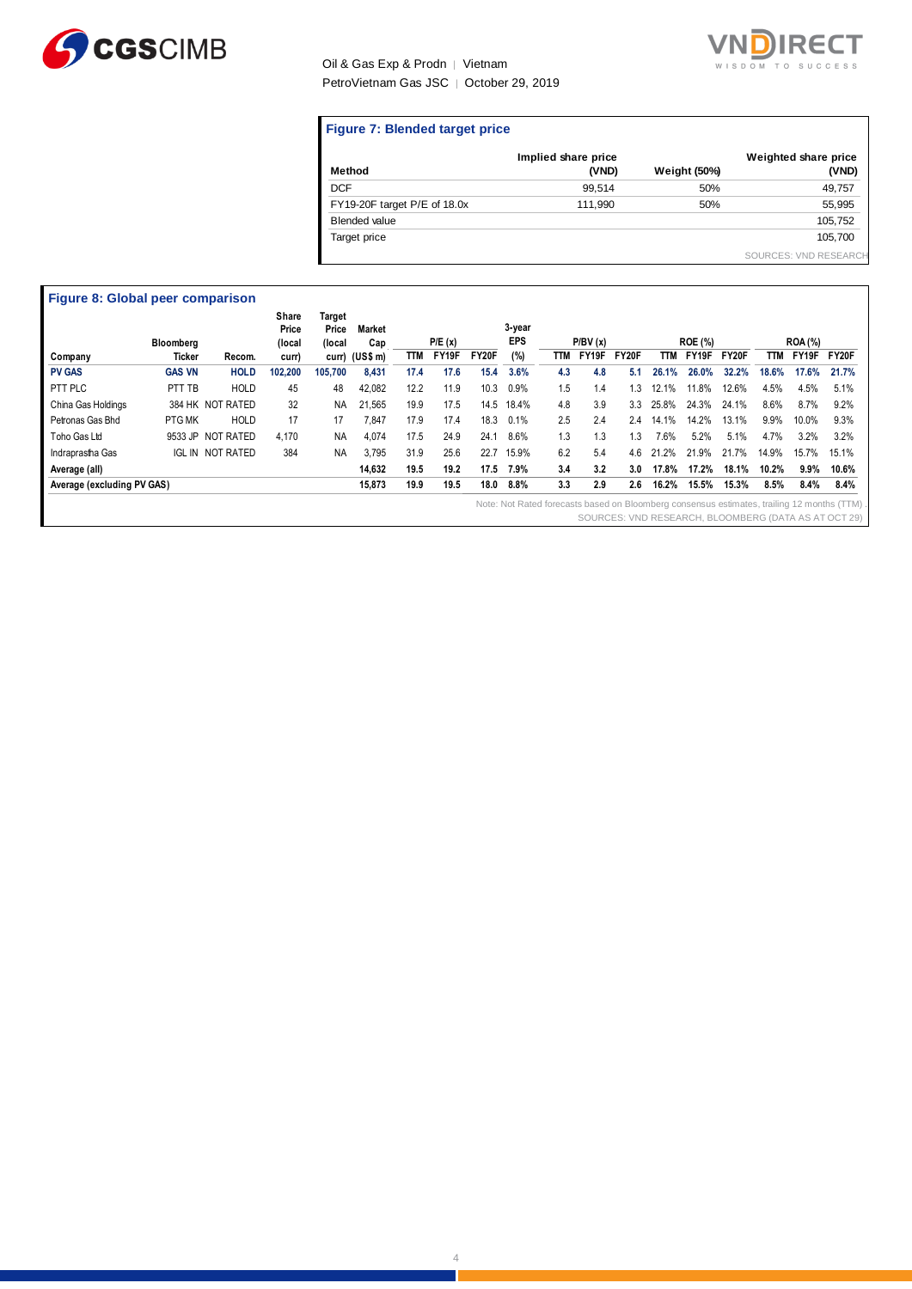

#### Oil & Gas Exp & Prodn | Vietnam PetroVietnam Gas JSC │ October 29, 2019



#### **Figure 7: Blended target price**

| Method                       | Implied share price<br>(VND) | <b>Weight (50%)</b> | Weighted share price<br>(VND) |
|------------------------------|------------------------------|---------------------|-------------------------------|
| <b>DCF</b>                   | 99.514                       | 50%                 | 49,757                        |
| FY19-20F target P/E of 18.0x | 111.990                      | 50%                 | 55,995                        |
| <b>Blended value</b>         |                              |                     | 105,752                       |
| Target price                 |                              |                     | 105.700                       |
|                              |                              |                     | SOURCES: VND RESEARCH         |

| Recom.<br><b>HOLD</b><br><b>HOLD</b> | curr)<br>102,200<br>45 | 105,700   | curr) (US\$ m)<br>8,431 | TTM  | FY19F | <b>FY20F</b> | (%)   | TTM | FY19F | FY20F | TTM      | FY19F |       |         |       |                                                                                                                                                                       |
|--------------------------------------|------------------------|-----------|-------------------------|------|-------|--------------|-------|-----|-------|-------|----------|-------|-------|---------|-------|-----------------------------------------------------------------------------------------------------------------------------------------------------------------------|
|                                      |                        |           |                         |      |       |              |       |     |       |       |          |       | FY20F | TТM     | FY19F | FY20F                                                                                                                                                                 |
|                                      |                        |           |                         | 17.4 | 17.6  | 15.4         | 3.6%  | 4.3 | 4.8   | 5.1   | 26.1%    | 26.0% | 32.2% | 18.6%   | 17.6% | 21.7%                                                                                                                                                                 |
|                                      |                        | 48        | 42,082                  | 12.2 | 11.9  | 10.3         | 0.9%  | 1.5 | 1.4   | 1.3   | 12.1%    | 11.8% | 12.6% | 4.5%    | 4.5%  | 5.1%                                                                                                                                                                  |
| 384 HK NOT RATED                     | 32                     | <b>NA</b> | 21,565                  | 19.9 | 17.5  | 14.5         | 18.4% | 4.8 | 3.9   | 3.3   | 25.8%    | 24.3% | 24.1% | 8.6%    | 8.7%  | 9.2%                                                                                                                                                                  |
| <b>HOLD</b>                          | 17                     | 17        | 7.847                   | 17.9 | 17.4  | 18.3         | 0.1%  | 2.5 | 2.4   | 2.4   | 14.1%    | 14.2% | 13.1% | $9.9\%$ | 10.0% | 9.3%                                                                                                                                                                  |
| 9533 JP NOT RATED                    | 4,170                  | <b>NA</b> | 4,074                   | 17.5 | 24.9  | 24.1         | 8.6%  | 1.3 | 1.3   | 1.3   | 7.6%     | 5.2%  | 5.1%  | 4.7%    | 3.2%  | 3.2%                                                                                                                                                                  |
| <b>NOT RATED</b>                     | 384                    | <b>NA</b> | 3.795                   | 31.9 | 25.6  | 22.7         | 15.9% | 6.2 | 5.4   | 4.6   | 2%<br>21 | 21.9% | 21.7% | 14.9%   | 15.7% | 15.1%                                                                                                                                                                 |
|                                      |                        |           | 14,632                  | 19.5 | 19.2  | 17.5         | 7.9%  | 3.4 | 3.2   | 3.0   | 17.8%    | 17.2% | 18.1% | 10.2%   |       | 10.6%                                                                                                                                                                 |
|                                      |                        |           | 15,873                  | 19.9 | 19.5  | 18.0         | 8.8%  | 3.3 | 2.9   | 2.6   | 16.2%    | 15.5% | 15.3% | 8.5%    |       | 8.4%                                                                                                                                                                  |
|                                      |                        |           |                         |      |       |              |       |     |       |       |          |       |       |         |       | $9.9\%$<br>8.4%<br>Note: Not Rated forecasts based on Bloomberg consensus estimates, trailing 12 months (TTM)<br>SOURCES: VND RESEARCH, BLOOMBERG (DATA AS AT OCT 29) |

4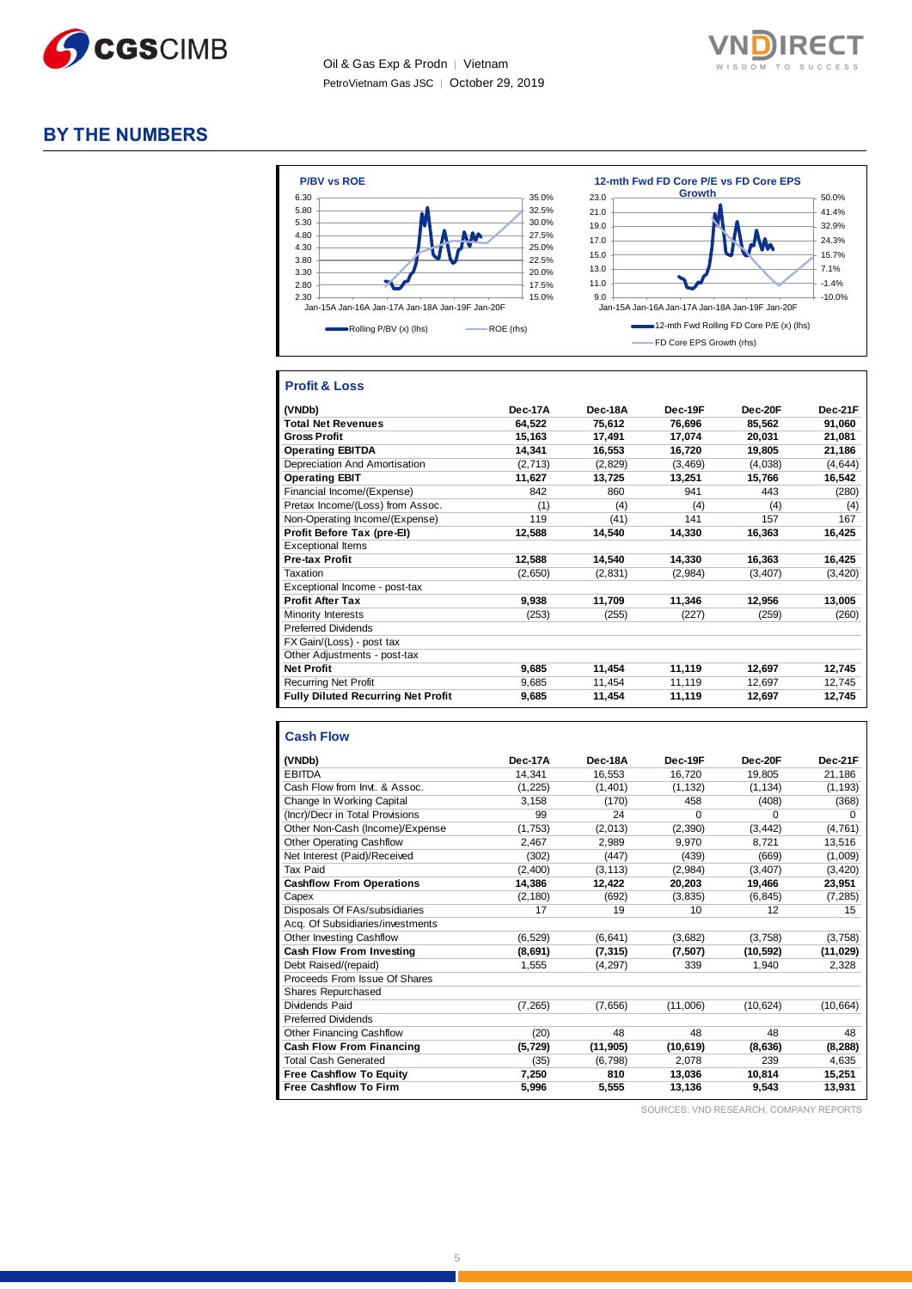

Oil & Gas Exp & Prodn │ Vietnam PetroVietnam Gas JSC │ October 29, 2019



#### **BY THE NUMBERS**



#### **Profit & Loss**

| (VNDb)                                    | Dec-17A | Dec-18A | Dec-19F  | Dec-20F  | Dec-21F  |
|-------------------------------------------|---------|---------|----------|----------|----------|
| <b>Total Net Revenues</b>                 | 64,522  | 75,612  | 76,696   | 85,562   | 91,060   |
| <b>Gross Profit</b>                       | 15,163  | 17,491  | 17,074   | 20,031   | 21,081   |
| <b>Operating EBITDA</b>                   | 14,341  | 16,553  | 16,720   | 19,805   | 21,186   |
| Depreciation And Amortisation             | (2,713) | (2,829) | (3, 469) | (4,038)  | (4,644)  |
| <b>Operating EBIT</b>                     | 11,627  | 13,725  | 13,251   | 15,766   | 16,542   |
| Financial Income/(Expense)                | 842     | 860     | 941      | 443      | (280)    |
| Pretax Income/(Loss) from Assoc.          | (1)     | (4)     | (4)      | (4)      | (4)      |
| Non-Operating Income/(Expense)            | 119     | (41)    | 141      | 157      | 167      |
| Profit Before Tax (pre-El)                | 12,588  | 14,540  | 14,330   | 16,363   | 16,425   |
| <b>Exceptional Items</b>                  |         |         |          |          |          |
| <b>Pre-tax Profit</b>                     | 12,588  | 14,540  | 14,330   | 16,363   | 16,425   |
| Taxation                                  | (2,650) | (2,831) | (2,984)  | (3, 407) | (3, 420) |
| Exceptional Income - post-tax             |         |         |          |          |          |
| <b>Profit After Tax</b>                   | 9,938   | 11,709  | 11,346   | 12,956   | 13,005   |
| Minority Interests                        | (253)   | (255)   | (227)    | (259)    | (260)    |
| <b>Preferred Dividends</b>                |         |         |          |          |          |
| FX Gain/(Loss) - post tax                 |         |         |          |          |          |
| Other Adjustments - post-tax              |         |         |          |          |          |
| <b>Net Profit</b>                         | 9,685   | 11,454  | 11,119   | 12,697   | 12,745   |
| <b>Recurring Net Profit</b>               | 9,685   | 11,454  | 11,119   | 12,697   | 12,745   |
| <b>Fully Diluted Recurring Net Profit</b> | 9,685   | 11,454  | 11,119   | 12,697   | 12,745   |

#### **Cash Flow**

|                                  | Dec-17A  | Dec-18A   | Dec-19F         | Dec-20F   | Dec-21F   |
|----------------------------------|----------|-----------|-----------------|-----------|-----------|
| (VNDb)                           |          |           |                 |           |           |
| <b>EBITDA</b>                    | 14,341   | 16,553    | 16,720          | 19,805    | 21,186    |
| Cash Flow from Invt. & Assoc.    | (1, 225) | (1,401)   | (1, 132)        | (1, 134)  | (1, 193)  |
| Change In Working Capital        | 3,158    | (170)     | 458             | (408)     | (368)     |
| (Incr)/Decr in Total Provisions  | 99       | 24        | $\Omega$        | $\Omega$  | 0         |
| Other Non-Cash (Income)/Expense  | (1,753)  | (2,013)   | (2, 390)        | (3, 442)  | (4,761)   |
| <b>Other Operating Cashflow</b>  | 2,467    | 2,989     | 9,970           | 8.721     | 13,516    |
| Net Interest (Paid)/Received     | (302)    | (447)     | (439)           | (669)     | (1,009)   |
| Tax Paid                         | (2,400)  | (3, 113)  | (2,984)         | (3, 407)  | (3, 420)  |
| <b>Cashflow From Operations</b>  | 14,386   | 12,422    | 20,203          | 19,466    | 23,951    |
| Capex                            | (2, 180) | (692)     | (3,835)         | (6, 845)  | (7, 285)  |
| Disposals Of FAs/subsidiaries    | 17       | 19        | 10 <sup>1</sup> | 12        | 15        |
| Acq. Of Subsidiaries/investments |          |           |                 |           |           |
| <b>Other Investing Cashflow</b>  | (6, 529) | (6, 641)  | (3,682)         | (3,758)   | (3,758)   |
| Cash Flow From Investing         | (8,691)  | (7, 315)  | (7,507)         | (10, 592) | (11, 029) |
| Debt Raised/(repaid)             | 1,555    | (4, 297)  | 339             | 1,940     | 2,328     |
| Proceeds From Issue Of Shares    |          |           |                 |           |           |
| Shares Repurchased               |          |           |                 |           |           |
| Dividends Paid                   | (7, 265) | (7,656)   | (11,006)        | (10, 624) | (10, 664) |
| <b>Preferred Dividends</b>       |          |           |                 |           |           |
| Other Financing Cashflow         | (20)     | 48        | 48              | 48        | 48        |
| Cash Flow From Financing         | (5, 729) | (11, 905) | (10, 619)       | (8,636)   | (8, 288)  |
| <b>Total Cash Generated</b>      | (35)     | (6, 798)  | 2,078           | 239       | 4,635     |
| <b>Free Cashflow To Equity</b>   | 7,250    | 810       | 13,036          | 10.814    | 15,251    |
| <b>Free Cashflow To Firm</b>     | 5,996    | 5,555     | 13,136          | 9,543     | 13,931    |

SOURCES: VND RESEARCH, COMPANY REPORTS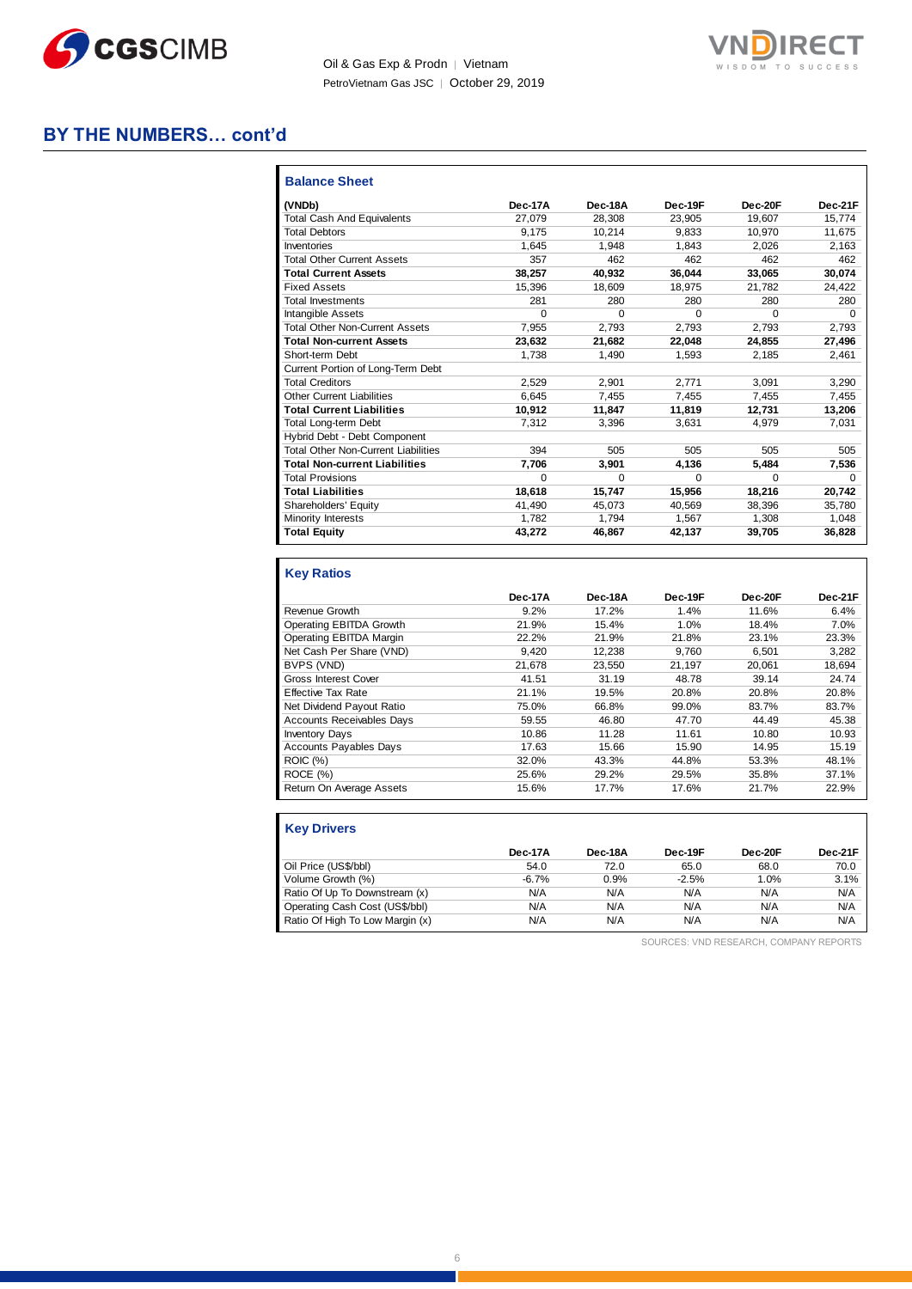

Oil & Gas Exp & Prodn │ Vietnam PetroVietnam Gas JSC | October 29, 2019



## **BY THE NUMBERS… cont'd**

| <b>Balance Sheet</b>                       |         |         |          |          |          |
|--------------------------------------------|---------|---------|----------|----------|----------|
| (VNDb)                                     | Dec-17A | Dec-18A | Dec-19F  | Dec-20F  | Dec-21F  |
| <b>Total Cash And Equivalents</b>          | 27.079  | 28.308  | 23.905   | 19.607   | 15.774   |
| <b>Total Debtors</b>                       | 9.175   | 10.214  | 9.833    | 10.970   | 11.675   |
| Inventories                                | 1.645   | 1.948   | 1.843    | 2.026    | 2.163    |
| <b>Total Other Current Assets</b>          | 357     | 462     | 462      | 462      | 462      |
| <b>Total Current Assets</b>                | 38.257  | 40.932  | 36.044   | 33.065   | 30,074   |
| <b>Fixed Assets</b>                        | 15,396  | 18,609  | 18.975   | 21,782   | 24,422   |
| <b>Total Investments</b>                   | 281     | 280     | 280      | 280      | 280      |
| Intangible Assets                          | 0       | 0       | $\Omega$ | $\Omega$ | $\Omega$ |
| <b>Total Other Non-Current Assets</b>      | 7.955   | 2,793   | 2,793    | 2.793    | 2.793    |
| <b>Total Non-current Assets</b>            | 23,632  | 21,682  | 22,048   | 24,855   | 27,496   |
| Short-term Debt                            | 1.738   | 1,490   | 1.593    | 2.185    | 2,461    |
| Current Portion of Long-Term Debt          |         |         |          |          |          |
| <b>Total Creditors</b>                     | 2.529   | 2.901   | 2.771    | 3.091    | 3,290    |
| <b>Other Current Liabilities</b>           | 6.645   | 7.455   | 7.455    | 7,455    | 7,455    |
| <b>Total Current Liabilities</b>           | 10.912  | 11.847  | 11.819   | 12.731   | 13,206   |
| <b>Total Long-term Debt</b>                | 7.312   | 3.396   | 3.631    | 4.979    | 7.031    |
| Hybrid Debt - Debt Component               |         |         |          |          |          |
| <b>Total Other Non-Current Liabilities</b> | 394     | 505     | 505      | 505      | 505      |
| <b>Total Non-current Liabilities</b>       | 7.706   | 3.901   | 4.136    | 5.484    | 7,536    |
| <b>Total Provisions</b>                    | 0       | O       | 0        | $\Omega$ | 0        |
| <b>Total Liabilities</b>                   | 18.618  | 15.747  | 15.956   | 18.216   | 20.742   |
| Shareholders' Equity                       | 41.490  | 45.073  | 40.569   | 38.396   | 35,780   |
| Minority Interests                         | 1.782   | 1.794   | 1.567    | 1,308    | 1,048    |
| <b>Total Equity</b>                        | 43.272  | 46,867  | 42,137   | 39,705   | 36,828   |

#### **Key Ratios**

|                                  | Dec-17A | Dec-18A | Dec-19F | Dec-20F | Dec-21F |
|----------------------------------|---------|---------|---------|---------|---------|
| Revenue Growth                   | 9.2%    | 17.2%   | 1.4%    | 11.6%   | 6.4%    |
| Operating EBITDA Growth          | 21.9%   | 15.4%   | 1.0%    | 18.4%   | 7.0%    |
| Operating EBITDA Margin          | 22.2%   | 21.9%   | 21.8%   | 23.1%   | 23.3%   |
| Net Cash Per Share (VND)         | 9.420   | 12,238  | 9.760   | 6,501   | 3,282   |
| BVPS (VND)                       | 21.678  | 23.550  | 21,197  | 20.061  | 18.694  |
| Gross Interest Cover             | 41.51   | 31.19   | 48.78   | 39.14   | 24.74   |
| <b>Effective Tax Rate</b>        | 21.1%   | 19.5%   | 20.8%   | 20.8%   | 20.8%   |
| Net Dividend Payout Ratio        | 75.0%   | 66.8%   | 99.0%   | 83.7%   | 83.7%   |
| <b>Accounts Receivables Days</b> | 59.55   | 46.80   | 47.70   | 44.49   | 45.38   |
| <b>Inventory Days</b>            | 10.86   | 11.28   | 11.61   | 10.80   | 10.93   |
| <b>Accounts Payables Days</b>    | 17.63   | 15.66   | 15.90   | 14.95   | 15.19   |
| ROIC (%)                         | 32.0%   | 43.3%   | 44.8%   | 53.3%   | 48.1%   |
| ROCE (%)                         | 25.6%   | 29.2%   | 29.5%   | 35.8%   | 37.1%   |
| Return On Average Assets         | 15.6%   | 17.7%   | 17.6%   | 21.7%   | 22.9%   |

| <b>Key Drivers</b>              |         |         |         |         |         |
|---------------------------------|---------|---------|---------|---------|---------|
|                                 | Dec-17A | Dec-18A | Dec-19F | Dec-20F | Dec-21F |
| Oil Price (US\$/bbl)            | 54.0    | 72.0    | 65.0    | 68.0    | 70.0    |
| Volume Growth (%)               | $-6.7%$ | 0.9%    | $-2.5%$ | 1.0%    | 3.1%    |
| Ratio Of Up To Downstream (x)   | N/A     | N/A     | N/A     | N/A     | N/A     |
| Operating Cash Cost (US\$/bbl)  | N/A     | N/A     | N/A     | N/A     | N/A     |
| Ratio Of High To Low Margin (x) | N/A     | N/A     | N/A     | N/A     | N/A     |

SOURCES: VND RESEARCH, COMPANY REPORTS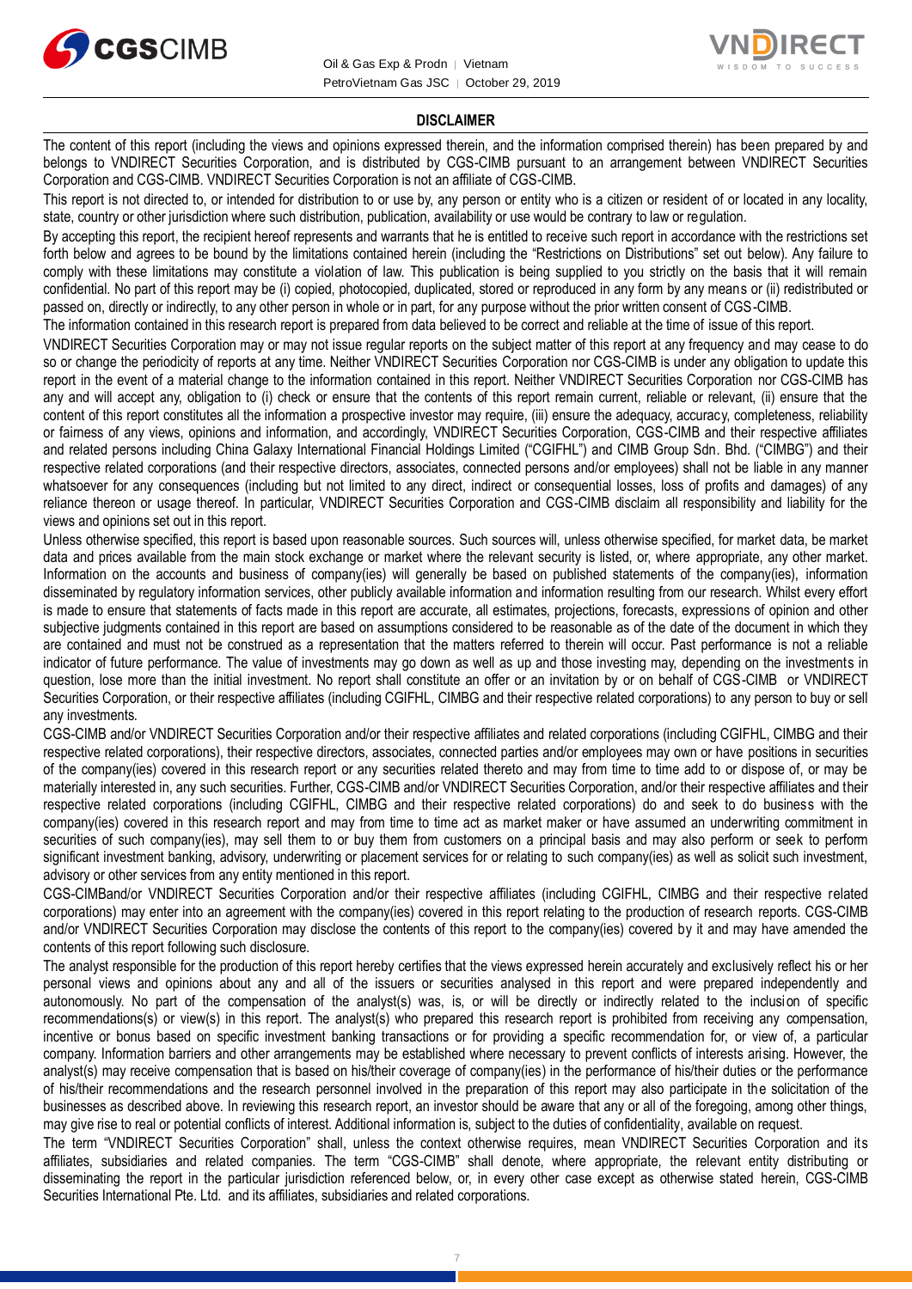



#### **DISCLAIMER**

The content of this report (including the views and opinions expressed therein, and the information comprised therein) has been prepared by and belongs to VNDIRECT Securities Corporation, and is distributed by CGS-CIMB pursuant to an arrangement between VNDIRECT Securities Corporation and CGS-CIMB. VNDIRECT Securities Corporation is not an affiliate of CGS-CIMB.

This report is not directed to, or intended for distribution to or use by, any person or entity who is a citizen or resident of or located in any locality, state, country or other jurisdiction where such distribution, publication, availability or use would be contrary to law or regulation.

By accepting this report, the recipient hereof represents and warrants that he is entitled to receive such report in accordance with the restrictions set forth below and agrees to be bound by the limitations contained herein (including the "Restrictions on Distributions" set out below). Any failure to comply with these limitations may constitute a violation of law. This publication is being supplied to you strictly on the basis that it will remain confidential. No part of this report may be (i) copied, photocopied, duplicated, stored or reproduced in any form by any means or (ii) redistributed or passed on, directly or indirectly, to any other person in whole or in part, for any purpose without the prior written consent of CGS-CIMB.

The information contained in this research report is prepared from data believed to be correct and reliable at the time of issue of this report.

VNDIRECT Securities Corporation may or may not issue regular reports on the subject matter of this report at any frequency and may cease to do so or change the periodicity of reports at any time. Neither VNDIRECT Securities Corporation nor CGS-CIMB is under any obligation to update this report in the event of a material change to the information contained in this report. Neither VNDIRECT Securities Corporation nor CGS-CIMB has any and will accept any, obligation to (i) check or ensure that the contents of this report remain current, reliable or relevant, (ii) ensure that the content of this report constitutes all the information a prospective investor may require, (iii) ensure the adequacy, accuracy, completeness, reliability or fairness of any views, opinions and information, and accordingly, VNDIRECT Securities Corporation, CGS-CIMB and their respective affiliates and related persons including China Galaxy International Financial Holdings Limited ("CGIFHL") and CIMB Group Sdn. Bhd. ("CIMBG") and their respective related corporations (and their respective directors, associates, connected persons and/or employees) shall not be liable in any manner whatsoever for any consequences (including but not limited to any direct, indirect or consequential losses, loss of profits and damages) of any reliance thereon or usage thereof. In particular, VNDIRECT Securities Corporation and CGS-CIMB disclaim all responsibility and liability for the views and opinions set out in this report.

Unless otherwise specified, this report is based upon reasonable sources. Such sources will, unless otherwise specified, for market data, be market data and prices available from the main stock exchange or market where the relevant security is listed, or, where appropriate, any other market. Information on the accounts and business of company(ies) will generally be based on published statements of the company(ies), information disseminated by regulatory information services, other publicly available information and information resulting from our research. Whilst every effort is made to ensure that statements of facts made in this report are accurate, all estimates, projections, forecasts, expressions of opinion and other subjective judgments contained in this report are based on assumptions considered to be reasonable as of the date of the document in which they are contained and must not be construed as a representation that the matters referred to therein will occur. Past performance is not a reliable indicator of future performance. The value of investments may go down as well as up and those investing may, depending on the investments in question, lose more than the initial investment. No report shall constitute an offer or an invitation by or on behalf of CGS-CIMB or VNDIRECT Securities Corporation, or their respective affiliates (including CGIFHL, CIMBG and their respective related corporations) to any person to buy or sell any investments.

CGS-CIMB and/or VNDIRECT Securities Corporation and/or their respective affiliates and related corporations (including CGIFHL, CIMBG and their respective related corporations), their respective directors, associates, connected parties and/or employees may own or have positions in securities of the company(ies) covered in this research report or any securities related thereto and may from time to time add to or dispose of, or may be materially interested in, any such securities. Further, CGS-CIMB and/or VNDIRECT Securities Corporation, and/or their respective affiliates and their respective related corporations (including CGIFHL, CIMBG and their respective related corporations) do and seek to do business with the company(ies) covered in this research report and may from time to time act as market maker or have assumed an underwriting commitment in securities of such company(ies), may sell them to or buy them from customers on a principal basis and may also perform or seek to perform significant investment banking, advisory, underwriting or placement services for or relating to such company(ies) as well as solicit such investment, advisory or other services from any entity mentioned in this report.

CGS-CIMBand/or VNDIRECT Securities Corporation and/or their respective affiliates (including CGIFHL, CIMBG and their respective related corporations) may enter into an agreement with the company(ies) covered in this report relating to the production of research reports. CGS-CIMB and/or VNDIRECT Securities Corporation may disclose the contents of this report to the company(ies) covered by it and may have amended the contents of this report following such disclosure.

The analyst responsible for the production of this report hereby certifies that the views expressed herein accurately and exclusively reflect his or her personal views and opinions about any and all of the issuers or securities analysed in this report and were prepared independently and autonomously. No part of the compensation of the analyst(s) was, is, or will be directly or indirectly related to the inclusion of specific recommendations(s) or view(s) in this report. The analyst(s) who prepared this research report is prohibited from receiving any compensation, incentive or bonus based on specific investment banking transactions or for providing a specific recommendation for, or view of, a particular company. Information barriers and other arrangements may be established where necessary to prevent conflicts of interests arising. However, the analyst(s) may receive compensation that is based on his/their coverage of company(ies) in the performance of his/their duties or the performance of his/their recommendations and the research personnel involved in the preparation of this report may also participate in the solicitation of the businesses as described above. In reviewing this research report, an investor should be aware that any or all of the foregoing, among other things, may give rise to real or potential conflicts of interest. Additional information is, subject to the duties of confidentiality, available on request.

The term "VNDIRECT Securities Corporation" shall, unless the context otherwise requires, mean VNDIRECT Securities Corporation and its affiliates, subsidiaries and related companies. The term "CGS-CIMB" shall denote, where appropriate, the relevant entity distributing or disseminating the report in the particular jurisdiction referenced below, or, in every other case except as otherwise stated herein, CGS-CIMB Securities International Pte. Ltd. and its affiliates, subsidiaries and related corporations.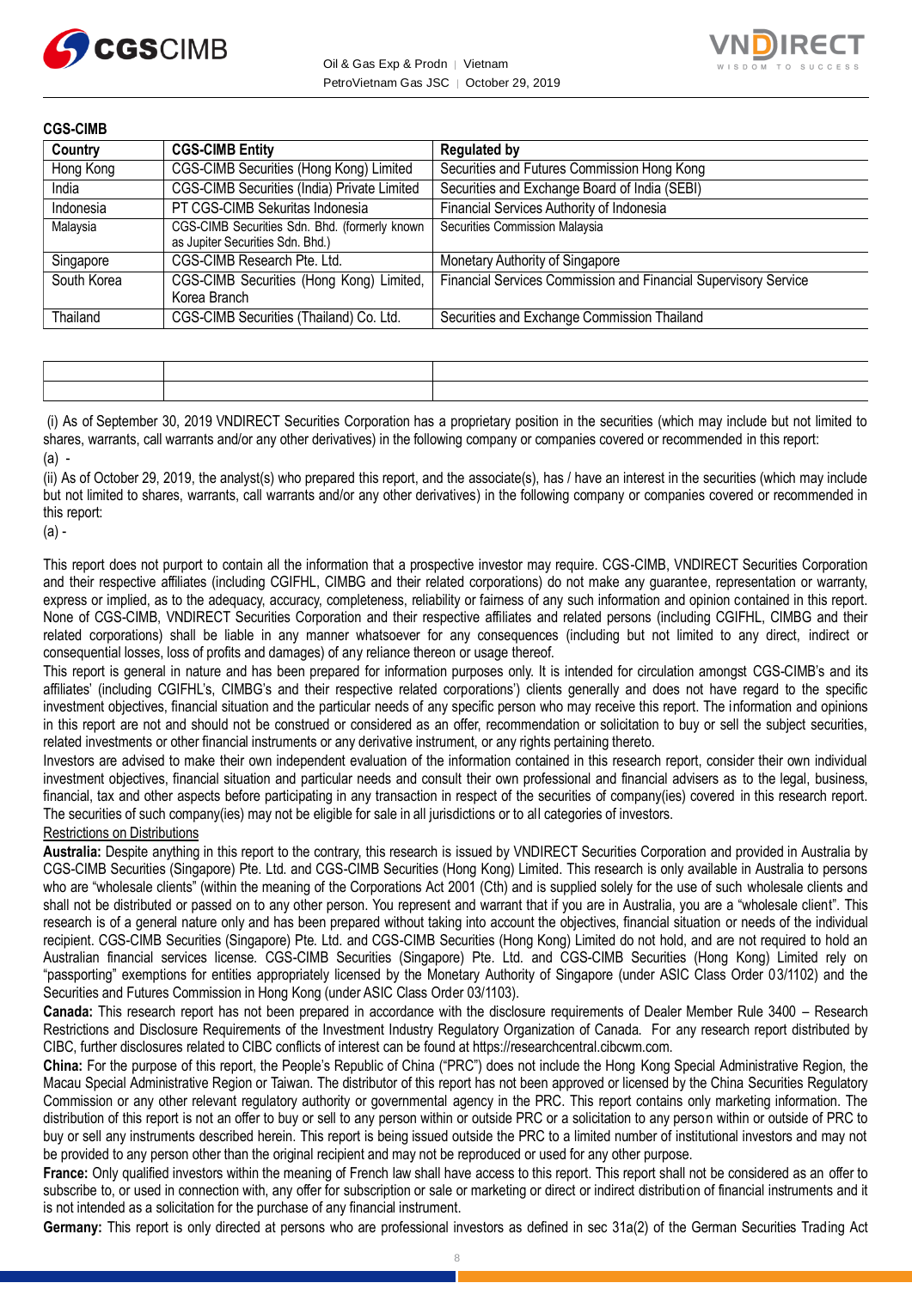



| <b>CGS-CIMB</b> |                                                                                   |                                                                 |
|-----------------|-----------------------------------------------------------------------------------|-----------------------------------------------------------------|
| Country         | <b>CGS-CIMB Entity</b>                                                            | <b>Regulated by</b>                                             |
| Hong Kong       | CGS-CIMB Securities (Hong Kong) Limited                                           | Securities and Futures Commission Hong Kong                     |
| India           | CGS-CIMB Securities (India) Private Limited                                       | Securities and Exchange Board of India (SEBI)                   |
| Indonesia       | PT CGS-CIMB Sekuritas Indonesia                                                   | Financial Services Authority of Indonesia                       |
| Malaysia        | CGS-CIMB Securities Sdn. Bhd. (formerly known<br>as Jupiter Securities Sdn. Bhd.) | Securities Commission Malaysia                                  |
| Singapore       | CGS-CIMB Research Pte. Ltd.                                                       | Monetary Authority of Singapore                                 |
| South Korea     | CGS-CIMB Securities (Hong Kong) Limited,<br>Korea Branch                          | Financial Services Commission and Financial Supervisory Service |
| Thailand        | CGS-CIMB Securities (Thailand) Co. Ltd.                                           | Securities and Exchange Commission Thailand                     |

(i) As of September 30, 2019 VNDIRECT Securities Corporation has a proprietary position in the securities (which may include but not limited to shares, warrants, call warrants and/or any other derivatives) in the following company or companies covered or recommended in this report:  $(a)$  -

(ii) As of October 29, 2019, the analyst(s) who prepared this report, and the associate(s), has / have an interest in the securities (which may include but not limited to shares, warrants, call warrants and/or any other derivatives) in the following company or companies covered or recommended in this report:

 $(a)$  -

This report does not purport to contain all the information that a prospective investor may require. CGS-CIMB, VNDIRECT Securities Corporation and their respective affiliates (including CGIFHL, CIMBG and their related corporations) do not make any guarantee, representation or warranty, express or implied, as to the adequacy, accuracy, completeness, reliability or fairness of any such information and opinion contained in this report. None of CGS-CIMB, VNDIRECT Securities Corporation and their respective affiliates and related persons (including CGIFHL, CIMBG and their related corporations) shall be liable in any manner whatsoever for any consequences (including but not limited to any direct, indirect or consequential losses, loss of profits and damages) of any reliance thereon or usage thereof.

This report is general in nature and has been prepared for information purposes only. It is intended for circulation amongst CGS-CIMB's and its affiliates' (including CGIFHL's, CIMBG's and their respective related corporations') clients generally and does not have regard to the specific investment objectives, financial situation and the particular needs of any specific person who may receive this report. The information and opinions in this report are not and should not be construed or considered as an offer, recommendation or solicitation to buy or sell the subject securities, related investments or other financial instruments or any derivative instrument, or any rights pertaining thereto.

Investors are advised to make their own independent evaluation of the information contained in this research report, consider their own individual investment objectives, financial situation and particular needs and consult their own professional and financial advisers as to the legal, business, financial, tax and other aspects before participating in any transaction in respect of the securities of company(ies) covered in this research report. The securities of such company(ies) may not be eligible for sale in all jurisdictions or to all categories of investors.

#### Restrictions on Distributions

**Australia:** Despite anything in this report to the contrary, this research is issued by VNDIRECT Securities Corporation and provided in Australia by CGS-CIMB Securities (Singapore) Pte. Ltd. and CGS-CIMB Securities (Hong Kong) Limited. This research is only available in Australia to persons who are "wholesale clients" (within the meaning of the Corporations Act 2001 (Cth) and is supplied solely for the use of such wholesale clients and shall not be distributed or passed on to any other person. You represent and warrant that if you are in Australia, you are a "wholesale client". This research is of a general nature only and has been prepared without taking into account the objectives, financial situation or needs of the individual recipient. CGS-CIMB Securities (Singapore) Pte. Ltd. and CGS-CIMB Securities (Hong Kong) Limited do not hold, and are not required to hold an Australian financial services license. CGS-CIMB Securities (Singapore) Pte. Ltd. and CGS-CIMB Securities (Hong Kong) Limited rely on "passporting" exemptions for entities appropriately licensed by the Monetary Authority of Singapore (under ASIC Class Order 03/1102) and the Securities and Futures Commission in Hong Kong (under ASIC Class Order 03/1103).

**Canada:** This research report has not been prepared in accordance with the disclosure requirements of Dealer Member Rule 3400 – Research Restrictions and Disclosure Requirements of the Investment Industry Regulatory Organization of Canada. For any research report distributed by CIBC, further disclosures related to CIBC conflicts of interest can be found at https://researchcentral.cibcwm.com.

**China:** For the purpose of this report, the People's Republic of China ("PRC") does not include the Hong Kong Special Administrative Region, the Macau Special Administrative Region or Taiwan. The distributor of this report has not been approved or licensed by the China Securities Regulatory Commission or any other relevant regulatory authority or governmental agency in the PRC. This report contains only marketing information. The distribution of this report is not an offer to buy or sell to any person within or outside PRC or a solicitation to any person within or outside of PRC to buy or sell any instruments described herein. This report is being issued outside the PRC to a limited number of institutional investors and may not be provided to any person other than the original recipient and may not be reproduced or used for any other purpose.

**France:** Only qualified investors within the meaning of French law shall have access to this report. This report shall not be considered as an offer to subscribe to, or used in connection with, any offer for subscription or sale or marketing or direct or indirect distribution of financial instruments and it is not intended as a solicitation for the purchase of any financial instrument.

**Germany:** This report is only directed at persons who are professional investors as defined in sec 31a(2) of the German Securities Trading Act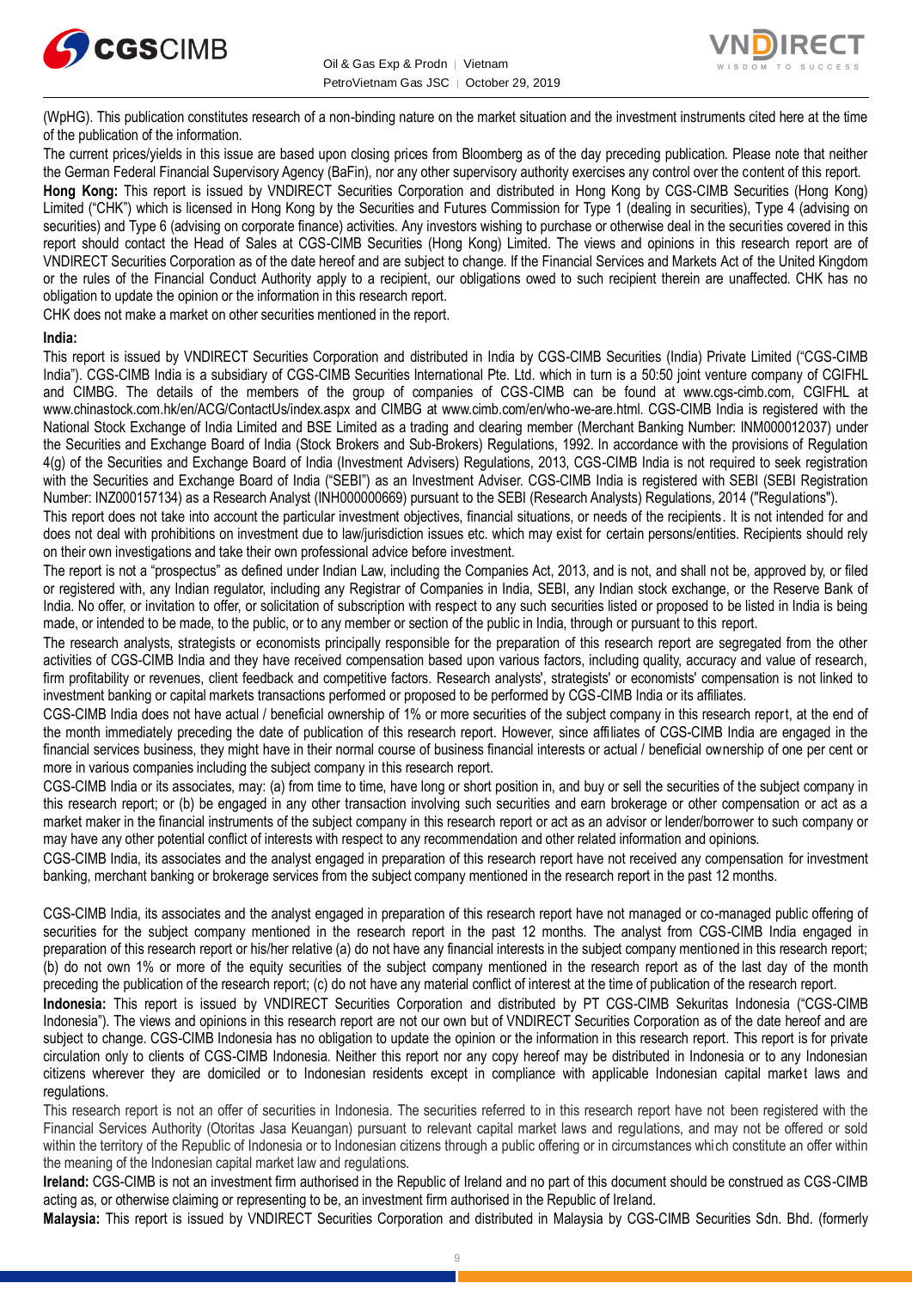



(WpHG). This publication constitutes research of a non-binding nature on the market situation and the investment instruments cited here at the time of the publication of the information.

The current prices/yields in this issue are based upon closing prices from Bloomberg as of the day preceding publication. Please note that neither the German Federal Financial Supervisory Agency (BaFin), nor any other supervisory authority exercises any control over the content of this report.

**Hong Kong:** This report is issued by VNDIRECT Securities Corporation and distributed in Hong Kong by CGS-CIMB Securities (Hong Kong) Limited ("CHK") which is licensed in Hong Kong by the Securities and Futures Commission for Type 1 (dealing in securities), Type 4 (advising on securities) and Type 6 (advising on corporate finance) activities. Any investors wishing to purchase or otherwise deal in the securities covered in this report should contact the Head of Sales at CGS-CIMB Securities (Hong Kong) Limited. The views and opinions in this research report are of VNDIRECT Securities Corporation as of the date hereof and are subject to change. If the Financial Services and Markets Act of the United Kingdom or the rules of the Financial Conduct Authority apply to a recipient, our obligations owed to such recipient therein are unaffected. CHK has no obligation to update the opinion or the information in this research report.

CHK does not make a market on other securities mentioned in the report.

#### **India:**

This report is issued by VNDIRECT Securities Corporation and distributed in India by CGS-CIMB Securities (India) Private Limited ("CGS-CIMB India"). CGS-CIMB India is a subsidiary of CGS-CIMB Securities International Pte. Ltd. which in turn is a 50:50 joint venture company of CGIFHL and CIMBG. The details of the members of the group of companies of CGS-CIMB can be found at www.cgs-cimb.com, CGIFHL at www.chinastock.com.hk/en/ACG/ContactUs/index.aspx and CIMBG at www.cimb.com/en/who-we-are.html. CGS-CIMB India is registered with the National Stock Exchange of India Limited and BSE Limited as a trading and clearing member (Merchant Banking Number: INM000012037) under the Securities and Exchange Board of India (Stock Brokers and Sub-Brokers) Regulations, 1992. In accordance with the provisions of Regulation 4(g) of the Securities and Exchange Board of India (Investment Advisers) Regulations, 2013, CGS-CIMB India is not required to seek registration with the Securities and Exchange Board of India ("SEBI") as an Investment Adviser. CGS-CIMB India is registered with SEBI (SEBI Registration Number: INZ000157134) as a Research Analyst (INH000000669) pursuant to the SEBI (Research Analysts) Regulations, 2014 ("Regulations").

This report does not take into account the particular investment objectives, financial situations, or needs of the recipients. It is not intended for and does not deal with prohibitions on investment due to law/jurisdiction issues etc. which may exist for certain persons/entities. Recipients should rely on their own investigations and take their own professional advice before investment.

The report is not a "prospectus" as defined under Indian Law, including the Companies Act, 2013, and is not, and shall not be, approved by, or filed or registered with, any Indian regulator, including any Registrar of Companies in India, SEBI, any Indian stock exchange, or the Reserve Bank of India. No offer, or invitation to offer, or solicitation of subscription with respect to any such securities listed or proposed to be listed in India is being made, or intended to be made, to the public, or to any member or section of the public in India, through or pursuant to this report.

The research analysts, strategists or economists principally responsible for the preparation of this research report are segregated from the other activities of CGS-CIMB India and they have received compensation based upon various factors, including quality, accuracy and value of research, firm profitability or revenues, client feedback and competitive factors. Research analysts', strategists' or economists' compensation is not linked to investment banking or capital markets transactions performed or proposed to be performed by CGS-CIMB India or its affiliates.

CGS-CIMB India does not have actual / beneficial ownership of 1% or more securities of the subject company in this research report, at the end of the month immediately preceding the date of publication of this research report. However, since affiliates of CGS-CIMB India are engaged in the financial services business, they might have in their normal course of business financial interests or actual / beneficial ownership of one per cent or more in various companies including the subject company in this research report.

CGS-CIMB India or its associates, may: (a) from time to time, have long or short position in, and buy or sell the securities of the subject company in this research report; or (b) be engaged in any other transaction involving such securities and earn brokerage or other compensation or act as a market maker in the financial instruments of the subject company in this research report or act as an advisor or lender/borrower to such company or may have any other potential conflict of interests with respect to any recommendation and other related information and opinions.

CGS-CIMB India, its associates and the analyst engaged in preparation of this research report have not received any compensation for investment banking, merchant banking or brokerage services from the subject company mentioned in the research report in the past 12 months.

CGS-CIMB India, its associates and the analyst engaged in preparation of this research report have not managed or co-managed public offering of securities for the subject company mentioned in the research report in the past 12 months. The analyst from CGS-CIMB India engaged in preparation of this research report or his/her relative (a) do not have any financial interests in the subject company mentioned in this research report; (b) do not own 1% or more of the equity securities of the subject company mentioned in the research report as of the last day of the month preceding the publication of the research report; (c) do not have any material conflict of interest at the time of publication of the research report.

**Indonesia:** This report is issued by VNDIRECT Securities Corporation and distributed by PT CGS-CIMB Sekuritas Indonesia ("CGS-CIMB Indonesia"). The views and opinions in this research report are not our own but of VNDIRECT Securities Corporation as of the date hereof and are subject to change. CGS-CIMB Indonesia has no obligation to update the opinion or the information in this research report. This report is for private circulation only to clients of CGS-CIMB Indonesia. Neither this report nor any copy hereof may be distributed in Indonesia or to any Indonesian citizens wherever they are domiciled or to Indonesian residents except in compliance with applicable Indonesian capital market laws and regulations.

This research report is not an offer of securities in Indonesia. The securities referred to in this research report have not been registered with the Financial Services Authority (Otoritas Jasa Keuangan) pursuant to relevant capital market laws and regulations, and may not be offered or sold within the territory of the Republic of Indonesia or to Indonesian citizens through a public offering or in circumstances which constitute an offer within the meaning of the Indonesian capital market law and regulations.

**Ireland:** CGS-CIMB is not an investment firm authorised in the Republic of Ireland and no part of this document should be construed as CGS-CIMB acting as, or otherwise claiming or representing to be, an investment firm authorised in the Republic of Ireland.

**Malaysia:** This report is issued by VNDIRECT Securities Corporation and distributed in Malaysia by CGS-CIMB Securities Sdn. Bhd. (formerly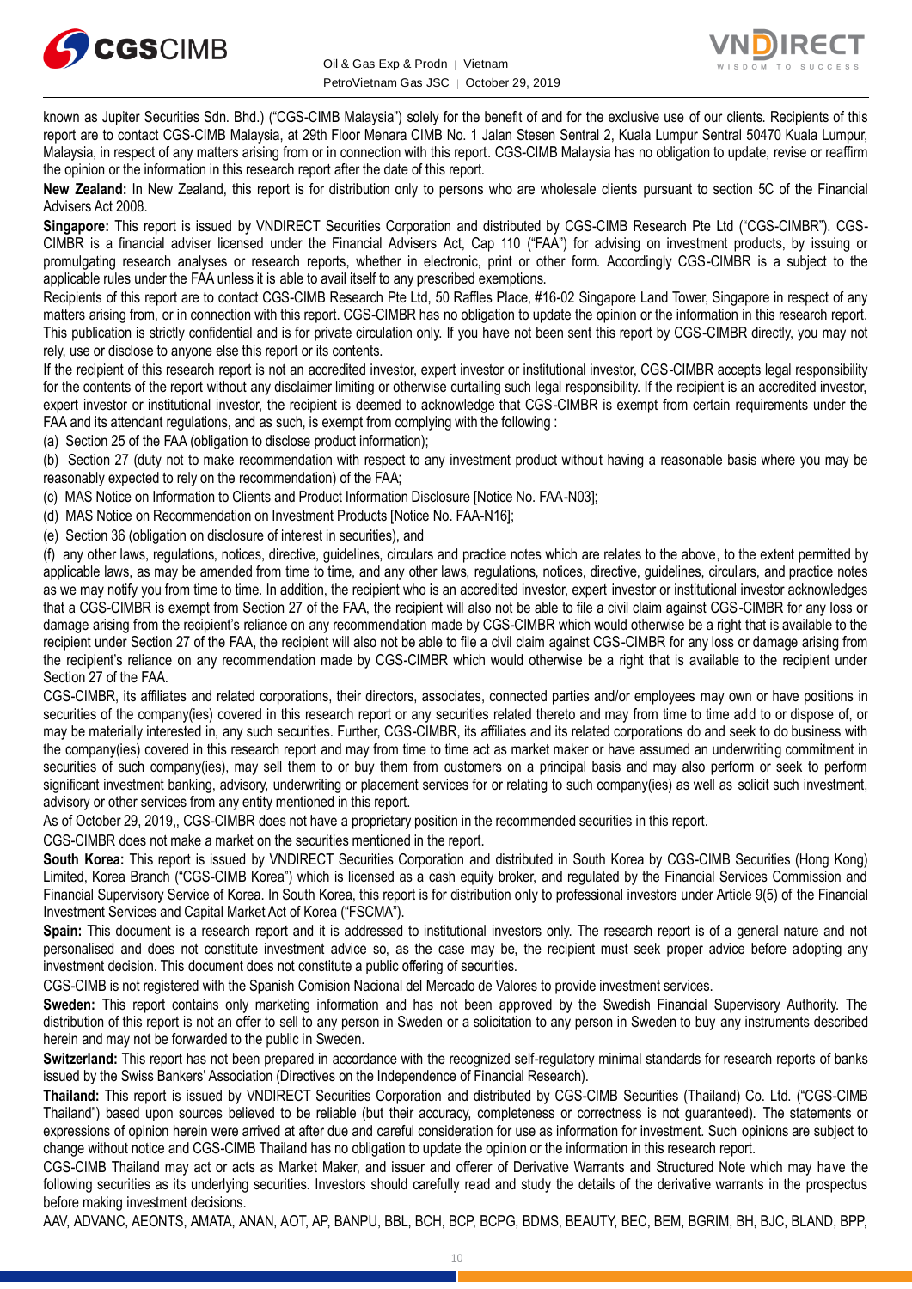



known as Jupiter Securities Sdn. Bhd.) ("CGS-CIMB Malaysia") solely for the benefit of and for the exclusive use of our clients. Recipients of this report are to contact CGS-CIMB Malaysia, at 29th Floor Menara CIMB No. 1 Jalan Stesen Sentral 2, Kuala Lumpur Sentral 50470 Kuala Lumpur, Malaysia, in respect of any matters arising from or in connection with this report. CGS-CIMB Malaysia has no obligation to update, revise or reaffirm the opinion or the information in this research report after the date of this report.

**New Zealand:** In New Zealand, this report is for distribution only to persons who are wholesale clients pursuant to section 5C of the Financial Advisers Act 2008.

**Singapore:** This report is issued by VNDIRECT Securities Corporation and distributed by CGS-CIMB Research Pte Ltd ("CGS-CIMBR"). CGS-CIMBR is a financial adviser licensed under the Financial Advisers Act, Cap 110 ("FAA") for advising on investment products, by issuing or promulgating research analyses or research reports, whether in electronic, print or other form. Accordingly CGS-CIMBR is a subject to the applicable rules under the FAA unless it is able to avail itself to any prescribed exemptions.

Recipients of this report are to contact CGS-CIMB Research Pte Ltd, 50 Raffles Place, #16-02 Singapore Land Tower, Singapore in respect of any matters arising from, or in connection with this report. CGS-CIMBR has no obligation to update the opinion or the information in this research report. This publication is strictly confidential and is for private circulation only. If you have not been sent this report by CGS-CIMBR directly, you may not rely, use or disclose to anyone else this report or its contents.

If the recipient of this research report is not an accredited investor, expert investor or institutional investor, CGS-CIMBR accepts legal responsibility for the contents of the report without any disclaimer limiting or otherwise curtailing such legal responsibility. If the recipient is an accredited investor, expert investor or institutional investor, the recipient is deemed to acknowledge that CGS-CIMBR is exempt from certain requirements under the FAA and its attendant regulations, and as such, is exempt from complying with the following :

(a) Section 25 of the FAA (obligation to disclose product information);

(b) Section 27 (duty not to make recommendation with respect to any investment product without having a reasonable basis where you may be reasonably expected to rely on the recommendation) of the FAA;

(c) MAS Notice on Information to Clients and Product Information Disclosure [Notice No. FAA-N03];

(d) MAS Notice on Recommendation on Investment Products [Notice No. FAA-N16];

(e) Section 36 (obligation on disclosure of interest in securities), and

(f) any other laws, regulations, notices, directive, guidelines, circulars and practice notes which are relates to the above, to the extent permitted by applicable laws, as may be amended from time to time, and any other laws, regulations, notices, directive, guidelines, circulars, and practice notes as we may notify you from time to time. In addition, the recipient who is an accredited investor, expert investor or institutional investor acknowledges that a CGS-CIMBR is exempt from Section 27 of the FAA, the recipient will also not be able to file a civil claim against CGS-CIMBR for any loss or damage arising from the recipient's reliance on any recommendation made by CGS-CIMBR which would otherwise be a right that is available to the recipient under Section 27 of the FAA, the recipient will also not be able to file a civil claim against CGS-CIMBR for any loss or damage arising from the recipient's reliance on any recommendation made by CGS-CIMBR which would otherwise be a right that is available to the recipient under Section 27 of the FAA.

CGS-CIMBR, its affiliates and related corporations, their directors, associates, connected parties and/or employees may own or have positions in securities of the company(ies) covered in this research report or any securities related thereto and may from time to time add to or dispose of, or may be materially interested in, any such securities. Further, CGS-CIMBR, its affiliates and its related corporations do and seek to do business with the company(ies) covered in this research report and may from time to time act as market maker or have assumed an underwriting commitment in securities of such company(ies), may sell them to or buy them from customers on a principal basis and may also perform or seek to perform significant investment banking, advisory, underwriting or placement services for or relating to such company(ies) as well as solicit such investment, advisory or other services from any entity mentioned in this report.

As of October 29, 2019,, CGS-CIMBR does not have a proprietary position in the recommended securities in this report.

CGS-CIMBR does not make a market on the securities mentioned in the report.

**South Korea:** This report is issued by VNDIRECT Securities Corporation and distributed in South Korea by CGS-CIMB Securities (Hong Kong) Limited, Korea Branch ("CGS-CIMB Korea") which is licensed as a cash equity broker, and regulated by the Financial Services Commission and Financial Supervisory Service of Korea. In South Korea, this report is for distribution only to professional investors under Article 9(5) of the Financial Investment Services and Capital Market Act of Korea ("FSCMA").

**Spain:** This document is a research report and it is addressed to institutional investors only. The research report is of a general nature and not personalised and does not constitute investment advice so, as the case may be, the recipient must seek proper advice before adopting any investment decision. This document does not constitute a public offering of securities.

CGS-CIMB is not registered with the Spanish Comision Nacional del Mercado de Valores to provide investment services.

**Sweden:** This report contains only marketing information and has not been approved by the Swedish Financial Supervisory Authority. The distribution of this report is not an offer to sell to any person in Sweden or a solicitation to any person in Sweden to buy any instruments described herein and may not be forwarded to the public in Sweden.

**Switzerland:** This report has not been prepared in accordance with the recognized self-regulatory minimal standards for research reports of banks issued by the Swiss Bankers' Association (Directives on the Independence of Financial Research).

**Thailand:** This report is issued by VNDIRECT Securities Corporation and distributed by CGS-CIMB Securities (Thailand) Co. Ltd. ("CGS-CIMB Thailand") based upon sources believed to be reliable (but their accuracy, completeness or correctness is not guaranteed). The statements or expressions of opinion herein were arrived at after due and careful consideration for use as information for investment. Such opinions are subject to change without notice and CGS-CIMB Thailand has no obligation to update the opinion or the information in this research report.

CGS-CIMB Thailand may act or acts as Market Maker, and issuer and offerer of Derivative Warrants and Structured Note which may have the following securities as its underlying securities. Investors should carefully read and study the details of the derivative warrants in the prospectus before making investment decisions.

AAV, ADVANC, AEONTS, AMATA, ANAN, AOT, AP, BANPU, BBL, BCH, BCP, BCPG, BDMS, BEAUTY, BEC, BEM, BGRIM, BH, BJC, BLAND, BPP,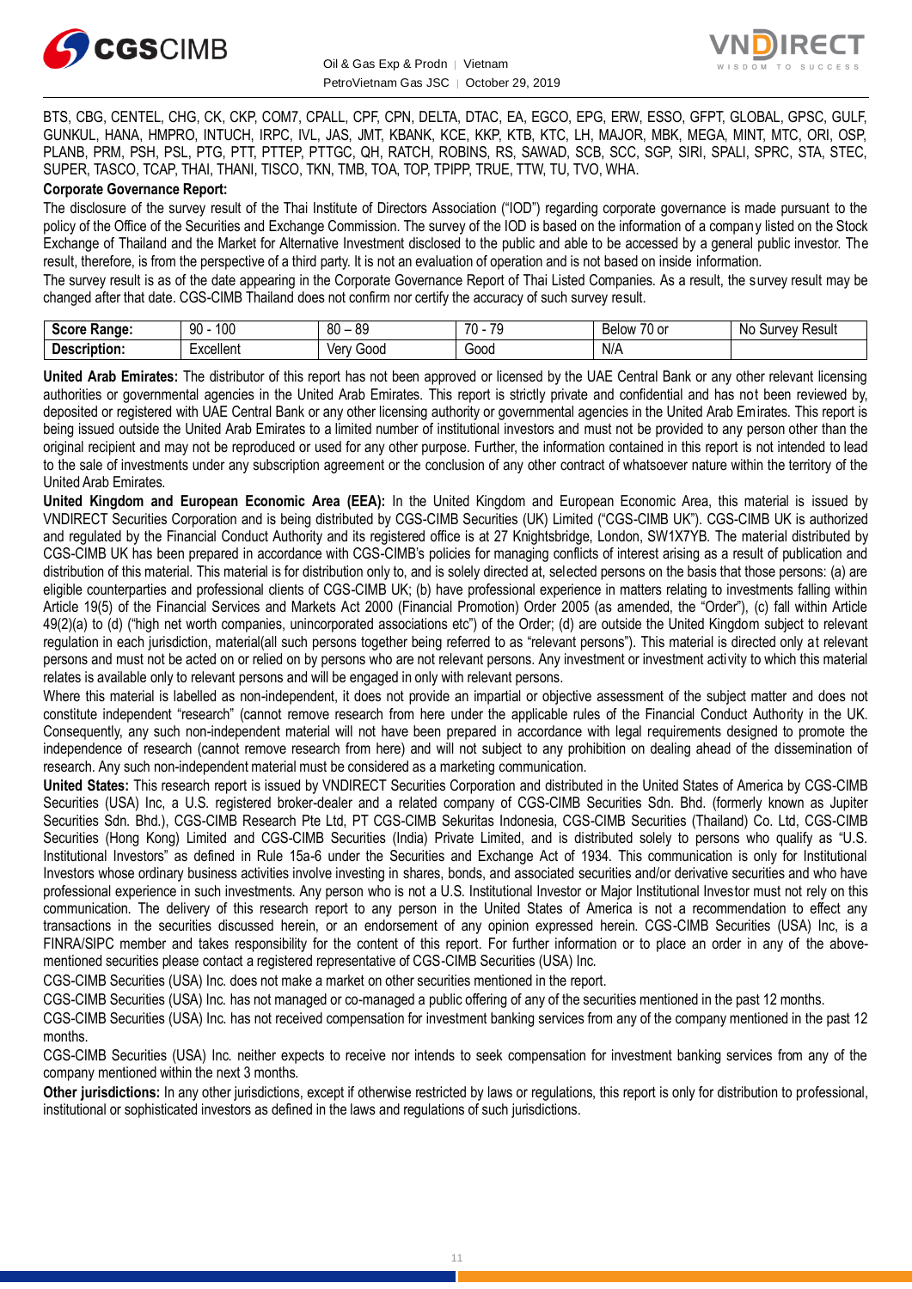



BTS, CBG, CENTEL, CHG, CK, CKP, COM7, CPALL, CPF, CPN, DELTA, DTAC, EA, EGCO, EPG, ERW, ESSO, GFPT, GLOBAL, GPSC, GULF, GUNKUL, HANA, HMPRO, INTUCH, IRPC, IVL, JAS, JMT, KBANK, KCE, KKP, KTB, KTC, LH, MAJOR, MBK, MEGA, MINT, MTC, ORI, OSP, PLANB, PRM, PSH, PSL, PTG, PTT, PTTEP, PTTGC, QH, RATCH, ROBINS, RS, SAWAD, SCB, SCC, SGP, SIRI, SPALI, SPRC, STA, STEC, SUPER, TASCO, TCAP, THAI, THANI, TISCO, TKN, TMB, TOA, TOP, TPIPP, TRUE, TTW, TU, TVO, WHA.

#### **Corporate Governance Report:**

The disclosure of the survey result of the Thai Institute of Directors Association ("IOD") regarding corporate governance is made pursuant to the policy of the Office of the Securities and Exchange Commission. The survey of the IOD is based on the information of a company listed on the Stock Exchange of Thailand and the Market for Alternative Investment disclosed to the public and able to be accessed by a general public investor. The result, therefore, is from the perspective of a third party. It is not an evaluation of operation and is not based on inside information.

The survey result is as of the date appearing in the Corporate Governance Report of Thai Listed Companies. As a result, the survey result may be changed after that date. CGS-CIMB Thailand does not confirm nor certify the accuracy of such survey result.

| .COLC<br><b>Range:</b>                | 1 ∩ ∩<br>o٥<br>ו טע<br>ັບ | 80<br>o٥<br>vu<br>v | $\overline{\phantom{a}}$<br>$\overline{\phantom{a}}$<br>., | $\overline{\phantom{a}}$<br><b>Below</b><br>U or | NC.<br>Result<br>1M/M<br>vev<br>ou |
|---------------------------------------|---------------------------|---------------------|------------------------------------------------------------|--------------------------------------------------|------------------------------------|
| <b>Descript</b><br>- - -<br>∼ription. | Excellent                 | Ven<br>000ن         | Good                                                       | N/A                                              |                                    |

**United Arab Emirates:** The distributor of this report has not been approved or licensed by the UAE Central Bank or any other relevant licensing authorities or governmental agencies in the United Arab Emirates. This report is strictly private and confidential and has not been reviewed by, deposited or registered with UAE Central Bank or any other licensing authority or governmental agencies in the United Arab Emirates. This report is being issued outside the United Arab Emirates to a limited number of institutional investors and must not be provided to any person other than the original recipient and may not be reproduced or used for any other purpose. Further, the information contained in this report is not intended to lead to the sale of investments under any subscription agreement or the conclusion of any other contract of whatsoever nature within the territory of the United Arab Emirates.

**United Kingdom and European Economic Area (EEA):** In the United Kingdom and European Economic Area, this material is issued by VNDIRECT Securities Corporation and is being distributed by CGS-CIMB Securities (UK) Limited ("CGS-CIMB UK"). CGS-CIMB UK is authorized and regulated by the Financial Conduct Authority and its registered office is at 27 Knightsbridge, London, SW1X7YB. The material distributed by CGS-CIMB UK has been prepared in accordance with CGS-CIMB's policies for managing conflicts of interest arising as a result of publication and distribution of this material. This material is for distribution only to, and is solely directed at, selected persons on the basis that those persons: (a) are eligible counterparties and professional clients of CGS-CIMB UK; (b) have professional experience in matters relating to investments falling within Article 19(5) of the Financial Services and Markets Act 2000 (Financial Promotion) Order 2005 (as amended, the "Order"), (c) fall within Article 49(2)(a) to (d) ("high net worth companies, unincorporated associations etc") of the Order; (d) are outside the United Kingdom subject to relevant regulation in each jurisdiction, material(all such persons together being referred to as "relevant persons"). This material is directed only at relevant persons and must not be acted on or relied on by persons who are not relevant persons. Any investment or investment activity to which this material relates is available only to relevant persons and will be engaged in only with relevant persons.

Where this material is labelled as non-independent, it does not provide an impartial or objective assessment of the subject matter and does not constitute independent "research" (cannot remove research from here under the applicable rules of the Financial Conduct Authority in the UK. Consequently, any such non-independent material will not have been prepared in accordance with legal requirements designed to promote the independence of research (cannot remove research from here) and will not subject to any prohibition on dealing ahead of the dissemination of research. Any such non-independent material must be considered as a marketing communication.

**United States:** This research report is issued by VNDIRECT Securities Corporation and distributed in the United States of America by CGS-CIMB Securities (USA) Inc, a U.S. registered broker-dealer and a related company of CGS-CIMB Securities Sdn. Bhd. (formerly known as Jupiter Securities Sdn. Bhd.), CGS-CIMB Research Pte Ltd, PT CGS-CIMB Sekuritas Indonesia, CGS-CIMB Securities (Thailand) Co. Ltd, CGS-CIMB Securities (Hong Kong) Limited and CGS-CIMB Securities (India) Private Limited, and is distributed solely to persons who qualify as "U.S. Institutional Investors" as defined in Rule 15a-6 under the Securities and Exchange Act of 1934. This communication is only for Institutional Investors whose ordinary business activities involve investing in shares, bonds, and associated securities and/or derivative securities and who have professional experience in such investments. Any person who is not a U.S. Institutional Investor or Major Institutional Investor must not rely on this communication. The delivery of this research report to any person in the United States of America is not a recommendation to effect any transactions in the securities discussed herein, or an endorsement of any opinion expressed herein. CGS-CIMB Securities (USA) Inc, is a FINRA/SIPC member and takes responsibility for the content of this report. For further information or to place an order in any of the abovementioned securities please contact a registered representative of CGS-CIMB Securities (USA) Inc.

CGS-CIMB Securities (USA) Inc. does not make a market on other securities mentioned in the report.

CGS-CIMB Securities (USA) Inc. has not managed or co-managed a public offering of any of the securities mentioned in the past 12 months.

CGS-CIMB Securities (USA) Inc. has not received compensation for investment banking services from any of the company mentioned in the past 12 months.

CGS-CIMB Securities (USA) Inc. neither expects to receive nor intends to seek compensation for investment banking services from any of the company mentioned within the next 3 months.

**Other jurisdictions:** In any other jurisdictions, except if otherwise restricted by laws or regulations, this report is only for distribution to professional, institutional or sophisticated investors as defined in the laws and regulations of such jurisdictions.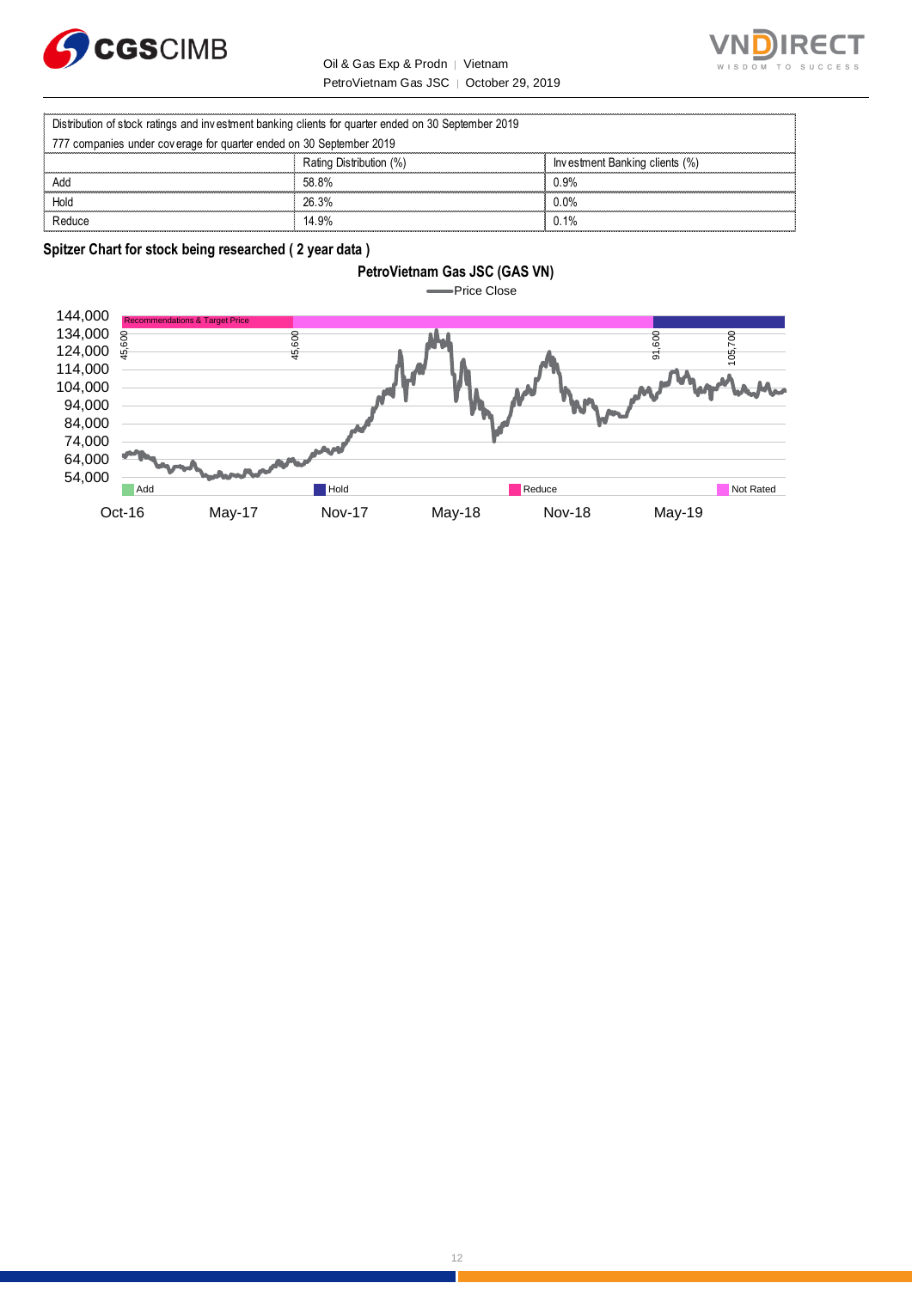

#### **RECT** SUCCESS T O

Oil & Gas Exp & Prodn | Vietnam PetroVietnam Gas JSC │ October 29, 2019

|                                                                                                     | Oil & Gas Exp & Prodn   Vietnam         | $T \Omega$<br>WISDOM           |
|-----------------------------------------------------------------------------------------------------|-----------------------------------------|--------------------------------|
|                                                                                                     | PetroVietnam Gas JSC   October 29, 2019 |                                |
|                                                                                                     |                                         |                                |
| Distribution of stock ratings and investment banking clients for quarter ended on 30 September 2019 |                                         |                                |
| 777 companies under coverage for quarter ended on 30 September 2019                                 |                                         |                                |
|                                                                                                     | Rating Distribution (%)                 | Investment Banking clients (%) |
| Add                                                                                                 | 58.8%                                   | 0.9%                           |
| Hold                                                                                                | 26.3%                                   | $0.0\%$                        |
| Reduce                                                                                              | 14.9%                                   | 0.1%                           |

**Spitzer Chart for stock being researched ( 2 year data )** 

#### **PetroVietnam Gas JSC (GAS VN)**

**Price Close** 

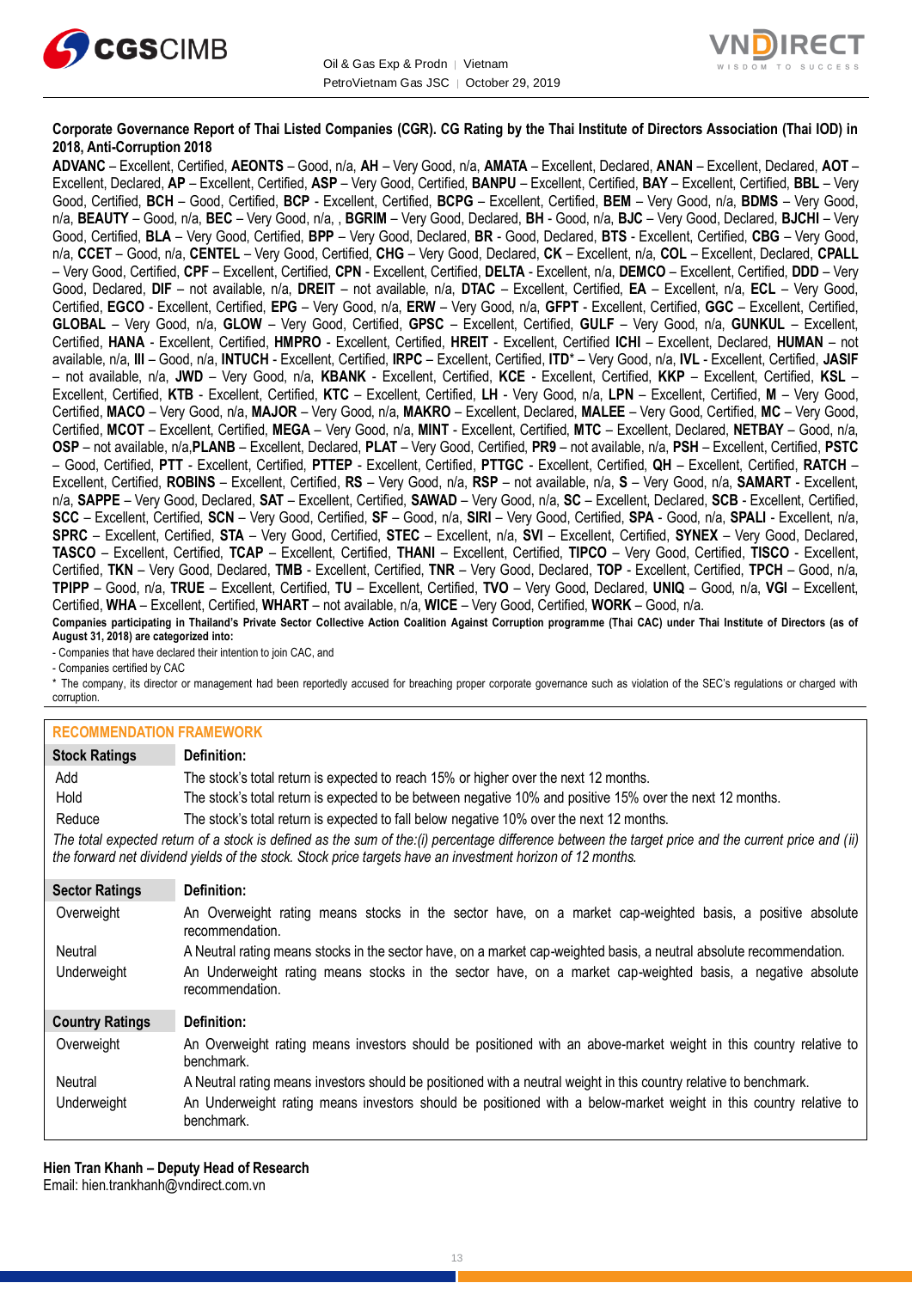



#### **Corporate Governance Report of Thai Listed Companies (CGR). CG Rating by the Thai Institute of Directors Association (Thai IOD) in 2018, Anti-Corruption 2018**

**ADVANC** – Excellent, Certified, **AEONTS** – Good, n/a, **AH** – Very Good, n/a, **AMATA** – Excellent, Declared, **ANAN** – Excellent, Declared, **AOT** – Excellent, Declared, **AP** – Excellent, Certified, **ASP** – Very Good, Certified, **BANPU** – Excellent, Certified, **BAY** – Excellent, Certified, **BBL** – Very Good, Certified, **BCH** – Good, Certified, **BCP** - Excellent, Certified, **BCPG** – Excellent, Certified, **BEM** – Very Good, n/a, **BDMS** – Very Good, n/a, **BEAUTY** – Good, n/a, **BEC** – Very Good, n/a, , **BGRIM** – Very Good, Declared, **BH** - Good, n/a, **BJC** – Very Good, Declared, **BJCHI** – Very Good, Certified, **BLA** – Very Good, Certified, **BPP** – Very Good, Declared, **BR** - Good, Declared, **BTS** - Excellent, Certified, **CBG** – Very Good, n/a, **CCET** – Good, n/a, **CENTEL** – Very Good, Certified, **CHG** – Very Good, Declared, **CK** – Excellent, n/a, **COL** – Excellent, Declared, **CPALL** – Very Good, Certified, **CPF** – Excellent, Certified, **CPN** - Excellent, Certified, **DELTA** - Excellent, n/a, **DEMCO** – Excellent, Certified, **DDD** – Very Good, Declared, **DIF** – not available, n/a, **DREIT** – not available, n/a, **DTAC** – Excellent, Certified, **EA** – Excellent, n/a, **ECL** – Very Good, Certified, **EGCO** - Excellent, Certified, **EPG** – Very Good, n/a, **ERW** – Very Good, n/a, **GFPT** - Excellent, Certified, **GGC** – Excellent, Certified, **GLOBAL** – Very Good, n/a, **GLOW** – Very Good, Certified, **GPSC** – Excellent, Certified, **GULF** – Very Good, n/a, **GUNKUL** – Excellent, Certified, **HANA** - Excellent, Certified, **HMPRO** - Excellent, Certified, **HREIT** - Excellent, Certified **ICHI** – Excellent, Declared, **HUMAN** – not available, n/a, **III** – Good, n/a, **INTUCH** - Excellent, Certified, **IRPC** – Excellent, Certified, **ITD**\* – Very Good, n/a, **IVL** - Excellent, Certified, **JASIF** – not available, n/a, **JWD** – Very Good, n/a, **KBANK** - Excellent, Certified, **KCE** - Excellent, Certified, **KKP** – Excellent, Certified, **KSL** – Excellent, Certified, **KTB** - Excellent, Certified, **KTC** – Excellent, Certified, **LH** - Very Good, n/a, **LPN** – Excellent, Certified, **M** – Very Good, Certified, **MACO** – Very Good, n/a, **MAJOR** – Very Good, n/a, **MAKRO** – Excellent, Declared, **MALEE** – Very Good, Certified, **MC** – Very Good, Certified, **MCOT** – Excellent, Certified, **MEGA** – Very Good, n/a, **MINT** - Excellent, Certified, **MTC** – Excellent, Declared, **NETBAY** – Good, n/a, **OSP** – not available, n/a,**PLANB** – Excellent, Declared, **PLAT** – Very Good, Certified, **PR9** – not available, n/a, **PSH** – Excellent, Certified, **PSTC** – Good, Certified, **PTT** - Excellent, Certified, **PTTEP** - Excellent, Certified, **PTTGC** - Excellent, Certified, **QH** – Excellent, Certified, **RATCH** – Excellent, Certified, **ROBINS** – Excellent, Certified, **RS** – Very Good, n/a, **RSP** – not available, n/a, **S** – Very Good, n/a, **SAMART** - Excellent, n/a, **SAPPE** – Very Good, Declared, **SAT** – Excellent, Certified, **SAWAD** – Very Good, n/a, **SC** – Excellent, Declared, **SCB** - Excellent, Certified, **SCC** – Excellent, Certified, **SCN** – Very Good, Certified, **SF** – Good, n/a, **SIRI** – Very Good, Certified, **SPA** - Good, n/a, **SPALI** - Excellent, n/a, **SPRC** – Excellent, Certified, **STA** – Very Good, Certified, **STEC** – Excellent, n/a, **SVI** – Excellent, Certified, **SYNEX** – Very Good, Declared, **TASCO** – Excellent, Certified, **TCAP** – Excellent, Certified, **THANI** – Excellent, Certified, **TIPCO** – Very Good, Certified, **TISCO** - Excellent, Certified, **TKN** – Very Good, Declared, **TMB** - Excellent, Certified, **TNR** – Very Good, Declared, **TOP** - Excellent, Certified, **TPCH** – Good, n/a, **TPIPP** – Good, n/a, **TRUE** – Excellent, Certified, **TU** – Excellent, Certified, **TVO** – Very Good, Declared, **UNIQ** – Good, n/a, **VGI** – Excellent, Certified, **WHA** – Excellent, Certified, **WHART** – not available, n/a, **WICE** – Very Good, Certified, **WORK** – Good, n/a. **Companies participating in Thailand's Private Sector Collective Action Coalition Against Corruption programme (Thai CAC) under Thai Institute of Directors (as of** 

**August 31, 2018) are categorized into:**

- Companies that have declared their intention to join CAC, and

- Companies certified by CAC

\* The company, its director or management had been reportedly accused for breaching proper corporate governance such as violation of the SEC's regulations or charged with corruption.

#### **RECOMMENDATION EDAMEWORK**

| INLOUIIIIILINDATION TIVAIIILINOINN |                                                                                                                                                                                                                                                                   |
|------------------------------------|-------------------------------------------------------------------------------------------------------------------------------------------------------------------------------------------------------------------------------------------------------------------|
| <b>Stock Ratings</b>               | Definition:                                                                                                                                                                                                                                                       |
| Add                                | The stock's total return is expected to reach 15% or higher over the next 12 months.                                                                                                                                                                              |
| Hold                               | The stock's total return is expected to be between negative 10% and positive 15% over the next 12 months.                                                                                                                                                         |
| Reduce                             | The stock's total return is expected to fall below negative 10% over the next 12 months.                                                                                                                                                                          |
|                                    | The total expected return of a stock is defined as the sum of the:(i) percentage difference between the target price and the current price and (ii)<br>the forward net dividend yields of the stock. Stock price targets have an investment horizon of 12 months. |
| <b>Sector Ratings</b>              | Definition:                                                                                                                                                                                                                                                       |
| Overweight                         | An Overweight rating means stocks in the sector have, on a market cap-weighted basis, a positive absolute<br>recommendation.                                                                                                                                      |
| Neutral                            | A Neutral rating means stocks in the sector have, on a market cap-weighted basis, a neutral absolute recommendation.                                                                                                                                              |
| Underweight                        | An Underweight rating means stocks in the sector have, on a market cap-weighted basis, a negative absolute<br>recommendation.                                                                                                                                     |
| <b>Country Ratings</b>             | Definition:                                                                                                                                                                                                                                                       |
| Overweight                         | An Overweight rating means investors should be positioned with an above-market weight in this country relative to<br>benchmark.                                                                                                                                   |
| Neutral                            | A Neutral rating means investors should be positioned with a neutral weight in this country relative to benchmark.                                                                                                                                                |
| Underweight                        | An Underweight rating means investors should be positioned with a below-market weight in this country relative to<br>benchmark.                                                                                                                                   |

**Hien Tran Khanh – Deputy Head of Research** Email[: hien.trankhanh@vndirect.com.vn](mailto:hien.trankhanh@vndirect.com.vn)